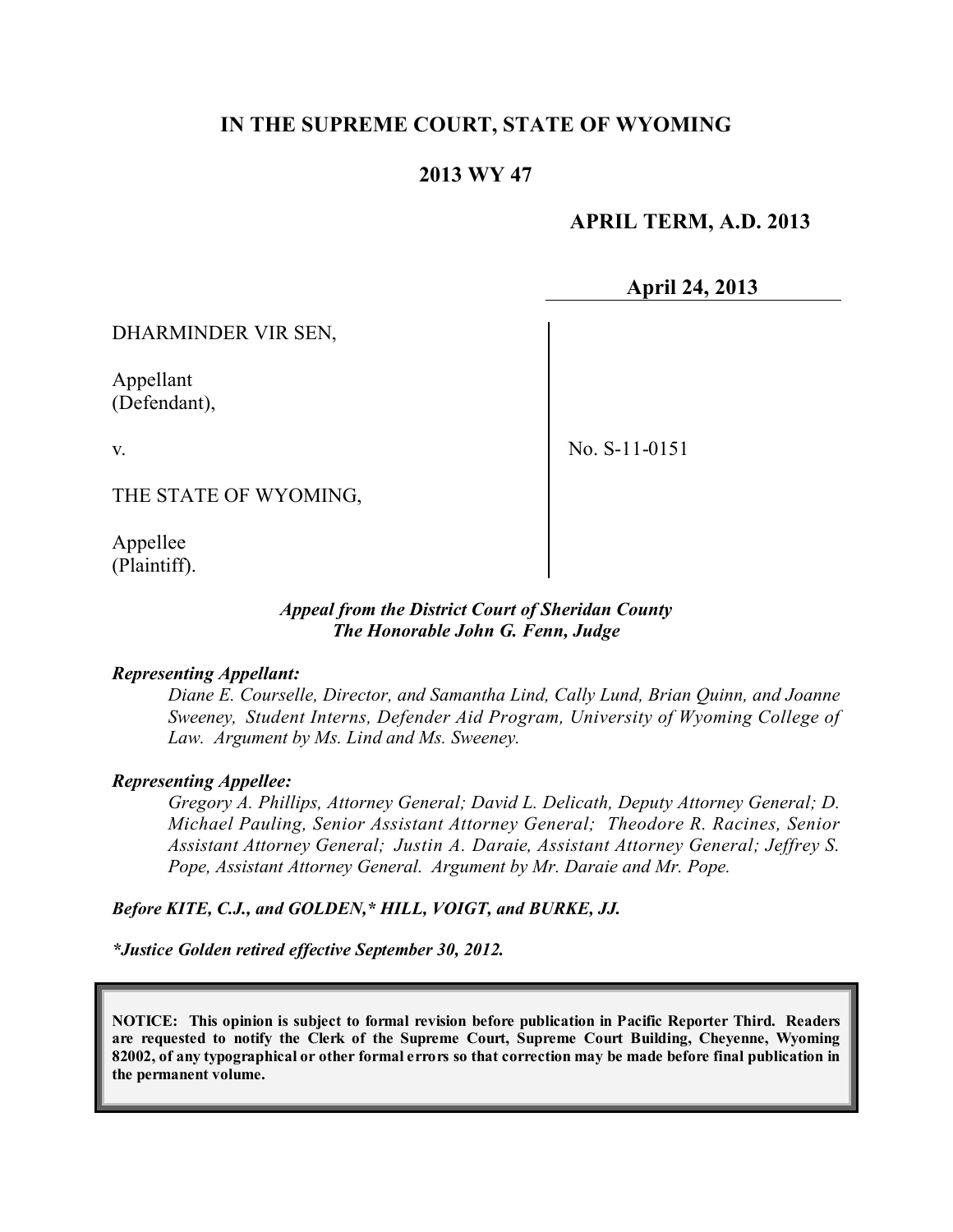## **IN THE SUPREME COURT, STATE OF WYOMING**

### **2013 WY 47**

### **APRIL TERM, A.D. 2013**

**April 24, 2013**

DHARMINDER VIR SEN,

Appellant (Defendant),

v.

No. S-11-0151

THE STATE OF WYOMING,

Appellee (Plaintiff).

#### *Appeal from the District Court of Sheridan County The Honorable John G. Fenn, Judge*

#### *Representing Appellant:*

*Diane E. Courselle, Director, and Samantha Lind, Cally Lund, Brian Quinn, and Joanne Sweeney, Student Interns, Defender Aid Program, University of Wyoming College of Law. Argument by Ms. Lind and Ms. Sweeney.*

#### *Representing Appellee:*

*Gregory A. Phillips, Attorney General; David L. Delicath, Deputy Attorney General; D. Michael Pauling, Senior Assistant Attorney General; Theodore R. Racines, Senior Assistant Attorney General; Justin A. Daraie, Assistant Attorney General; Jeffrey S. Pope, Assistant Attorney General. Argument by Mr. Daraie and Mr. Pope.*

#### *Before KITE, C.J., and GOLDEN,\* HILL, VOIGT, and BURKE, JJ.*

*\*Justice Golden retired effective September 30, 2012.*

**NOTICE: This opinion is subject to formal revision before publication in Pacific Reporter Third. Readers are requested to notify the Clerk of the Supreme Court, Supreme Court Building, Cheyenne, Wyoming** 82002, of any typographical or other formal errors so that correction may be made before final publication in **the permanent volume.**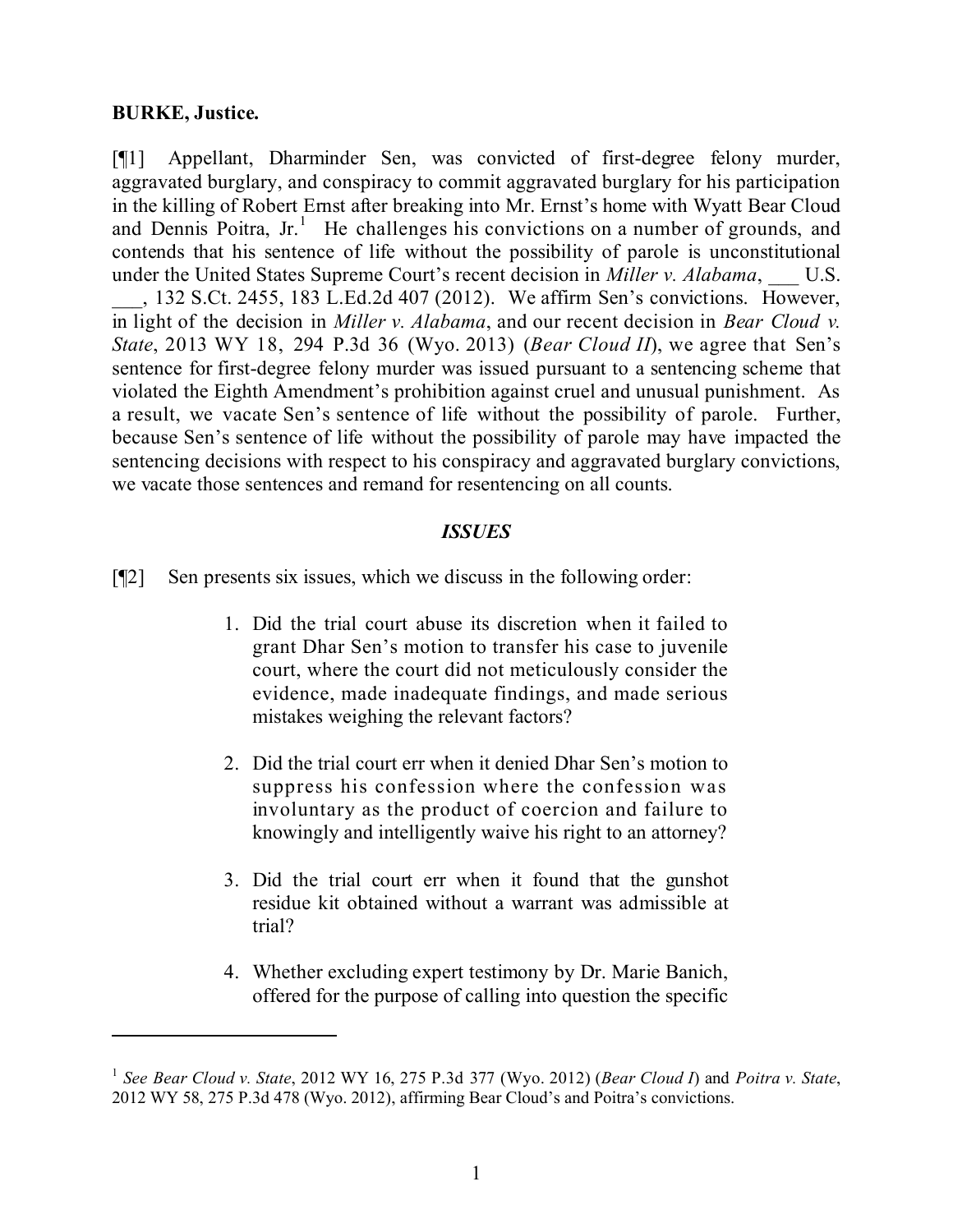### **BURKE, Justice.**

[¶1] Appellant, Dharminder Sen, was convicted of first-degree felony murder, aggravated burglary, and conspiracy to commit aggravated burglary for his participation in the killing of Robert Ernst after breaking into Mr. Ernst's home with Wyatt Bear Cloud and Dennis Poitra, Jr.<sup>1</sup> He challenges his convictions on a number of grounds, and contends that his sentence of life without the possibility of parole is unconstitutional under the United States Supreme Court's recent decision in *Miller v. Alabama*, U.S.

\_\_\_, 132 S.Ct. 2455, 183 L.Ed.2d 407 (2012). We affirm Sen's convictions. However, in light of the decision in *Miller v. Alabama*, and our recent decision in *Bear Cloud v. State*, 2013 WY 18, 294 P.3d 36 (Wyo. 2013) (*Bear Cloud II*), we agree that Sen's sentence for first-degree felony murder was issued pursuant to a sentencing scheme that violated the Eighth Amendment's prohibition against cruel and unusual punishment. As a result, we vacate Sen's sentence of life without the possibility of parole. Further, because Sen's sentence of life without the possibility of parole may have impacted the sentencing decisions with respect to his conspiracy and aggravated burglary convictions, we vacate those sentences and remand for resentencing on all counts.

#### *ISSUES*

- [¶2] Sen presents six issues, which we discuss in the following order:
	- 1. Did the trial court abuse its discretion when it failed to grant Dhar Sen's motion to transfer his case to juvenile court, where the court did not meticulously consider the evidence, made inadequate findings, and made serious mistakes weighing the relevant factors?
	- 2. Did the trial court err when it denied Dhar Sen's motion to suppress his confession where the confession was involuntary as the product of coercion and failure to knowingly and intelligently waive his right to an attorney?
	- 3. Did the trial court err when it found that the gunshot residue kit obtained without a warrant was admissible at trial?
	- 4. Whether excluding expert testimony by Dr. Marie Banich, offered for the purpose of calling into question the specific

<sup>1</sup> *See Bear Cloud v. State*, 2012 WY 16, 275 P.3d 377 (Wyo. 2012) (*Bear Cloud I*) and *Poitra v. State*, 2012 WY 58, 275 P.3d 478 (Wyo. 2012), affirming Bear Cloud's and Poitra's convictions.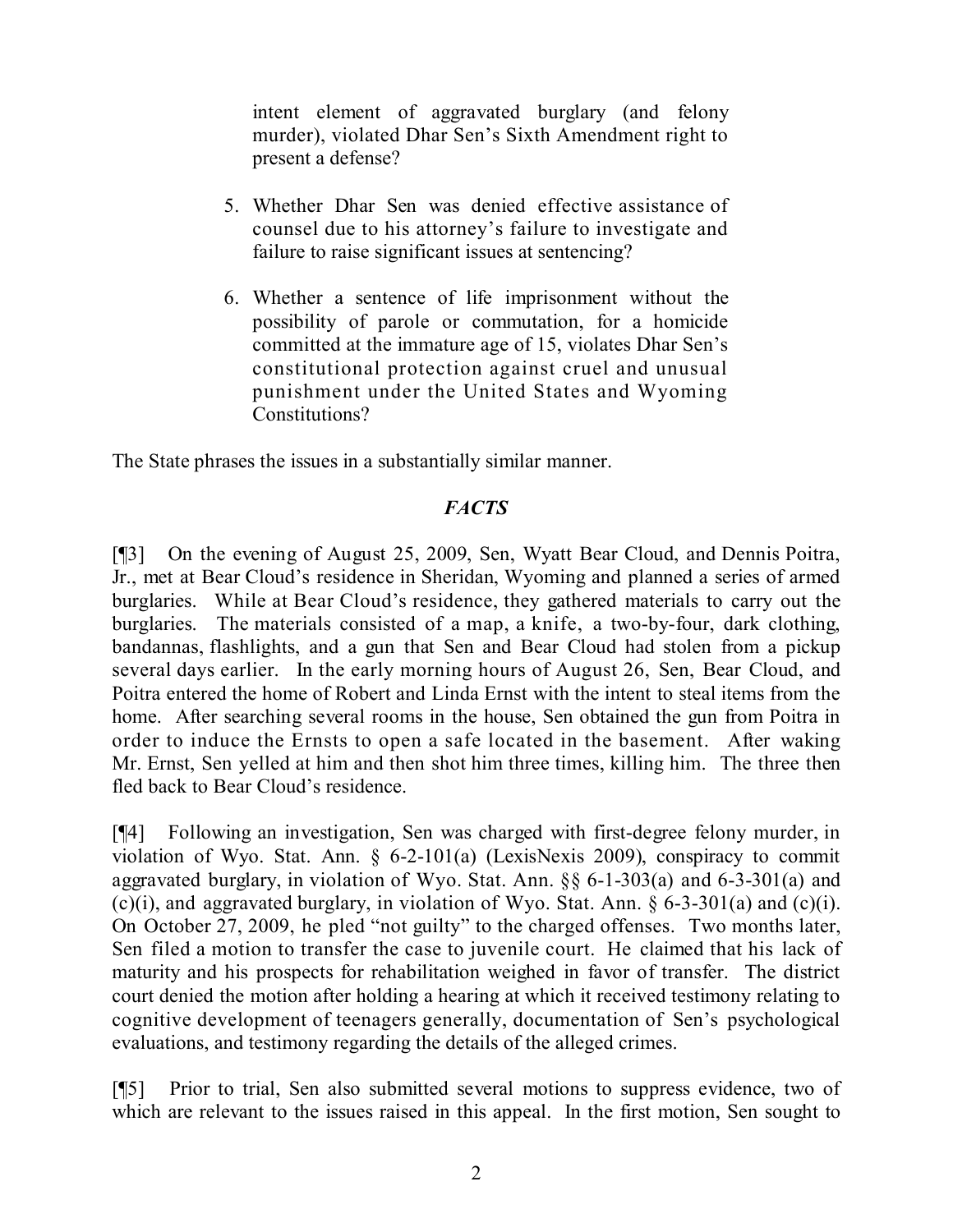intent element of aggravated burglary (and felony murder), violated Dhar Sen's Sixth Amendment right to present a defense?

- 5. Whether Dhar Sen was denied effective assistance of counsel due to his attorney's failure to investigate and failure to raise significant issues at sentencing?
- 6. Whether a sentence of life imprisonment without the possibility of parole or commutation, for a homicide committed at the immature age of 15, violates Dhar Sen's constitutional protection against cruel and unusual punishment under the United States and Wyoming Constitutions?

The State phrases the issues in a substantially similar manner.

## *FACTS*

[¶3] On the evening of August 25, 2009, Sen, Wyatt Bear Cloud, and Dennis Poitra, Jr., met at Bear Cloud's residence in Sheridan, Wyoming and planned a series of armed burglaries. While at Bear Cloud's residence, they gathered materials to carry out the burglaries. The materials consisted of a map, a knife, a two-by-four, dark clothing, bandannas, flashlights, and a gun that Sen and Bear Cloud had stolen from a pickup several days earlier. In the early morning hours of August 26, Sen, Bear Cloud, and Poitra entered the home of Robert and Linda Ernst with the intent to steal items from the home. After searching several rooms in the house, Sen obtained the gun from Poitra in order to induce the Ernsts to open a safe located in the basement. After waking Mr. Ernst, Sen yelled at him and then shot him three times, killing him. The three then fled back to Bear Cloud's residence.

[¶4] Following an investigation, Sen was charged with first-degree felony murder, in violation of Wyo. Stat. Ann. § 6-2-101(a) (LexisNexis 2009), conspiracy to commit aggravated burglary, in violation of Wyo. Stat. Ann. §§ 6-1-303(a) and 6-3-301(a) and (c)(i), and aggravated burglary, in violation of Wyo. Stat. Ann.  $\S 6-3-301(a)$  and (c)(i). On October 27, 2009, he pled "not guilty" to the charged offenses. Two months later, Sen filed a motion to transfer the case to juvenile court. He claimed that his lack of maturity and his prospects for rehabilitation weighed in favor of transfer. The district court denied the motion after holding a hearing at which it received testimony relating to cognitive development of teenagers generally, documentation of Sen's psychological evaluations, and testimony regarding the details of the alleged crimes.

[¶5] Prior to trial, Sen also submitted several motions to suppress evidence, two of which are relevant to the issues raised in this appeal. In the first motion, Sen sought to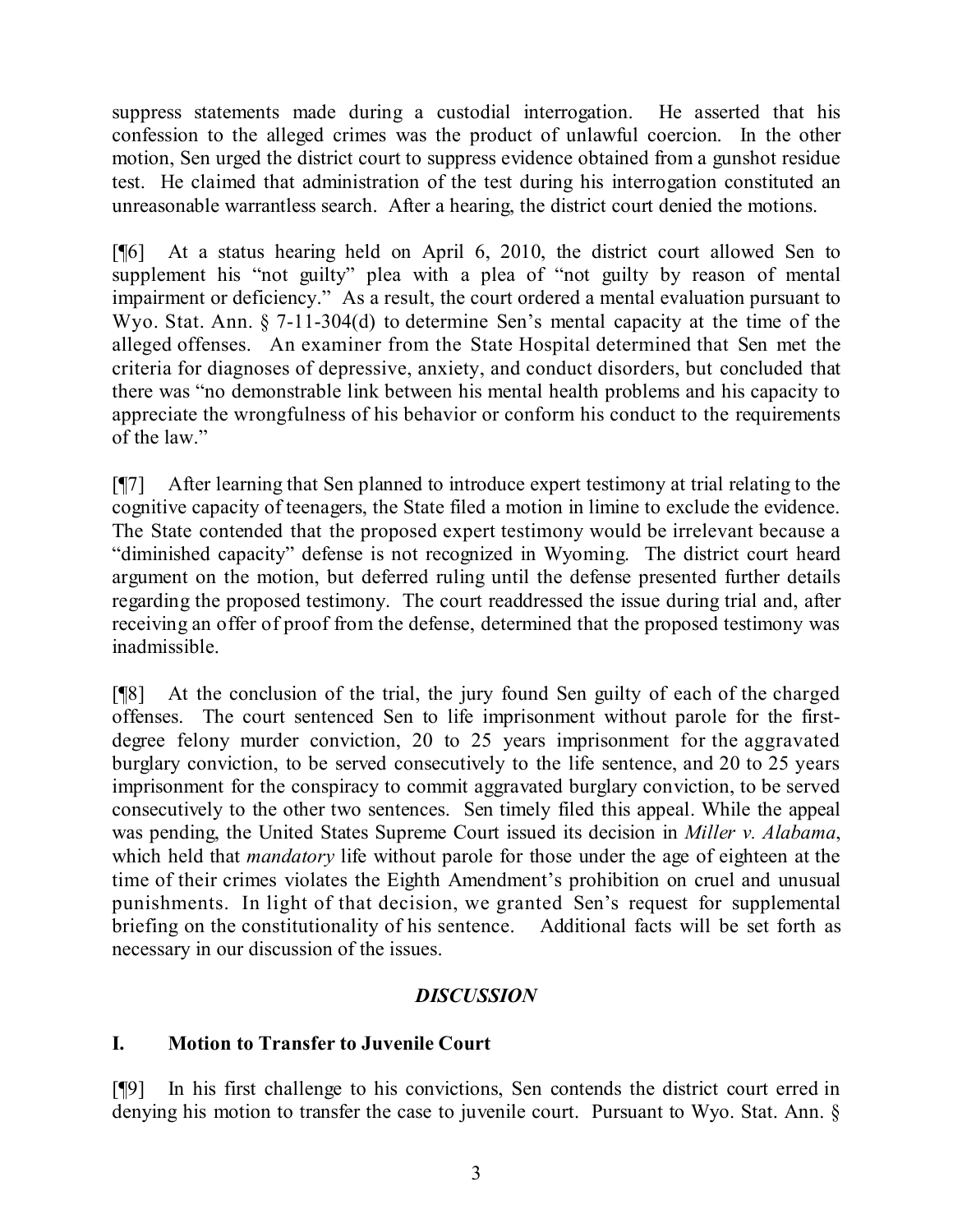suppress statements made during a custodial interrogation. He asserted that his confession to the alleged crimes was the product of unlawful coercion. In the other motion, Sen urged the district court to suppress evidence obtained from a gunshot residue test. He claimed that administration of the test during his interrogation constituted an unreasonable warrantless search. After a hearing, the district court denied the motions.

[¶6] At a status hearing held on April 6, 2010, the district court allowed Sen to supplement his "not guilty" plea with a plea of "not guilty by reason of mental impairment or deficiency." As a result, the court ordered a mental evaluation pursuant to Wyo. Stat. Ann. § 7-11-304(d) to determine Sen's mental capacity at the time of the alleged offenses. An examiner from the State Hospital determined that Sen met the criteria for diagnoses of depressive, anxiety, and conduct disorders, but concluded that there was "no demonstrable link between his mental health problems and his capacity to appreciate the wrongfulness of his behavior or conform his conduct to the requirements of the law."

[¶7] After learning that Sen planned to introduce expert testimony at trial relating to the cognitive capacity of teenagers, the State filed a motion in limine to exclude the evidence. The State contended that the proposed expert testimony would be irrelevant because a "diminished capacity" defense is not recognized in Wyoming. The district court heard argument on the motion, but deferred ruling until the defense presented further details regarding the proposed testimony. The court readdressed the issue during trial and, after receiving an offer of proof from the defense, determined that the proposed testimony was inadmissible.

[¶8] At the conclusion of the trial, the jury found Sen guilty of each of the charged offenses. The court sentenced Sen to life imprisonment without parole for the firstdegree felony murder conviction, 20 to 25 years imprisonment for the aggravated burglary conviction, to be served consecutively to the life sentence, and 20 to 25 years imprisonment for the conspiracy to commit aggravated burglary conviction, to be served consecutively to the other two sentences. Sen timely filed this appeal. While the appeal was pending, the United States Supreme Court issued its decision in *Miller v. Alabama*, which held that *mandatory* life without parole for those under the age of eighteen at the time of their crimes violates the Eighth Amendment's prohibition on cruel and unusual punishments. In light of that decision, we granted Sen's request for supplemental briefing on the constitutionality of his sentence. Additional facts will be set forth as necessary in our discussion of the issues.

# *DISCUSSION*

## **I. Motion to Transfer to Juvenile Court**

[¶9] In his first challenge to his convictions, Sen contends the district court erred in denying his motion to transfer the case to juvenile court. Pursuant to Wyo. Stat. Ann. §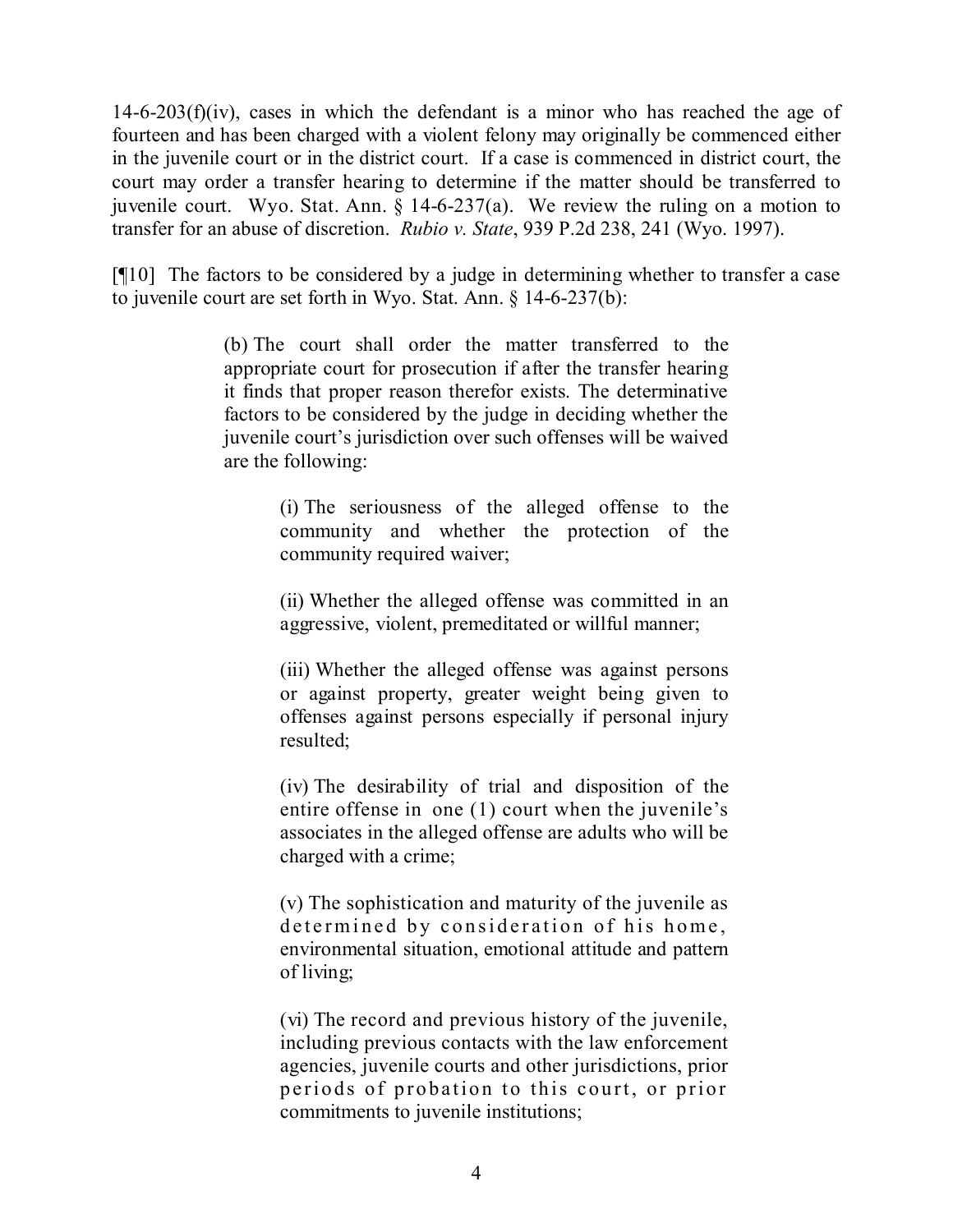$14-6-203(f)(iv)$ , cases in which the defendant is a minor who has reached the age of fourteen and has been charged with a violent felony may originally be commenced either in the juvenile court or in the district court. If a case is commenced in district court, the court may order a transfer hearing to determine if the matter should be transferred to juvenile court. Wyo. Stat. Ann. § 14-6-237(a). We review the ruling on a motion to transfer for an abuse of discretion. *Rubio v. State*, 939 P.2d 238, 241 (Wyo. 1997).

[¶10] The factors to be considered by a judge in determining whether to transfer a case to juvenile court are set forth in Wyo. Stat. Ann. § 14-6-237(b):

> (b) The court shall order the matter transferred to the appropriate court for prosecution if after the transfer hearing it finds that proper reason therefor exists. The determinative factors to be considered by the judge in deciding whether the juvenile court's jurisdiction over such offenses will be waived are the following:

> > (i) The seriousness of the alleged offense to the community and whether the protection of the community required waiver;

> > (ii) Whether the alleged offense was committed in an aggressive, violent, premeditated or willful manner;

> > (iii) Whether the alleged offense was against persons or against property, greater weight being given to offenses against persons especially if personal injury resulted;

> > (iv) The desirability of trial and disposition of the entire offense in one (1) court when the juvenile's associates in the alleged offense are adults who will be charged with a crime;

> > (v) The sophistication and maturity of the juvenile as determined by consideration of his home, environmental situation, emotional attitude and pattern of living;

> > (vi) The record and previous history of the juvenile, including previous contacts with the law enforcement agencies, juvenile courts and other jurisdictions, prior periods of probation to this court, or prior commitments to juvenile institutions;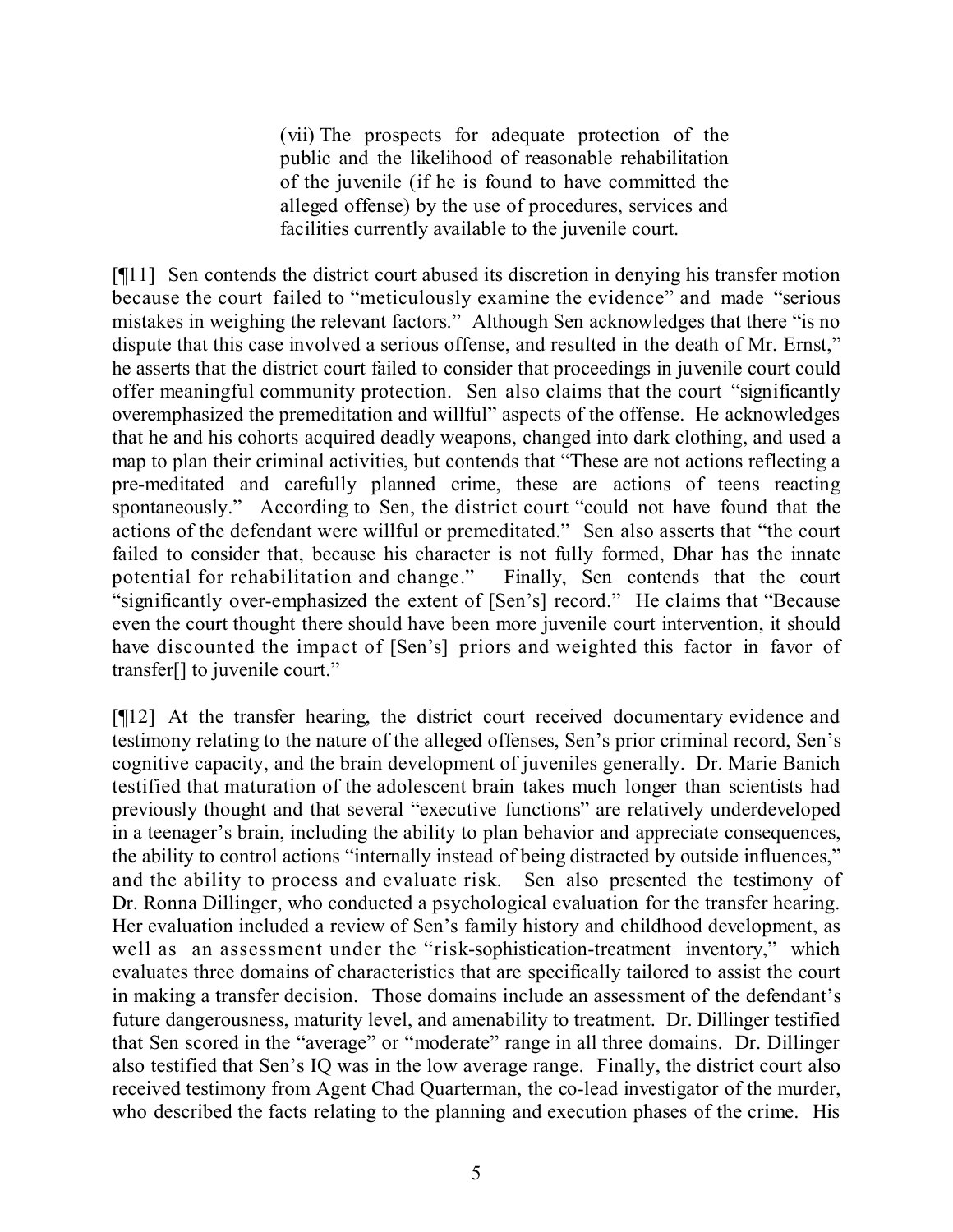(vii) The prospects for adequate protection of the public and the likelihood of reasonable rehabilitation of the juvenile (if he is found to have committed the alleged offense) by the use of procedures, services and facilities currently available to the juvenile court.

[¶11] Sen contends the district court abused its discretion in denying his transfer motion because the court failed to "meticulously examine the evidence" and made "serious mistakes in weighing the relevant factors." Although Sen acknowledges that there "is no dispute that this case involved a serious offense, and resulted in the death of Mr. Ernst," he asserts that the district court failed to consider that proceedings in juvenile court could offer meaningful community protection. Sen also claims that the court "significantly overemphasized the premeditation and willful" aspects of the offense. He acknowledges that he and his cohorts acquired deadly weapons, changed into dark clothing, and used a map to plan their criminal activities, but contends that "These are not actions reflecting a pre-meditated and carefully planned crime, these are actions of teens reacting spontaneously." According to Sen, the district court "could not have found that the actions of the defendant were willful or premeditated." Sen also asserts that "the court failed to consider that, because his character is not fully formed, Dhar has the innate potential for rehabilitation and change." Finally, Sen contends that the court "significantly over-emphasized the extent of [Sen's] record." He claims that "Because even the court thought there should have been more juvenile court intervention, it should have discounted the impact of [Sen's] priors and weighted this factor in favor of transfer[] to juvenile court."

[¶12] At the transfer hearing, the district court received documentary evidence and testimony relating to the nature of the alleged offenses, Sen's prior criminal record, Sen's cognitive capacity, and the brain development of juveniles generally. Dr. Marie Banich testified that maturation of the adolescent brain takes much longer than scientists had previously thought and that several "executive functions" are relatively underdeveloped in a teenager's brain, including the ability to plan behavior and appreciate consequences, the ability to control actions "internally instead of being distracted by outside influences," and the ability to process and evaluate risk. Sen also presented the testimony of Dr. Ronna Dillinger, who conducted a psychological evaluation for the transfer hearing. Her evaluation included a review of Sen's family history and childhood development, as well as an assessment under the "risk-sophistication-treatment inventory," which evaluates three domains of characteristics that are specifically tailored to assist the court in making a transfer decision. Those domains include an assessment of the defendant's future dangerousness, maturity level, and amenability to treatment. Dr. Dillinger testified that Sen scored in the "average" or "moderate" range in all three domains. Dr. Dillinger also testified that Sen's IQ was in the low average range. Finally, the district court also received testimony from Agent Chad Quarterman, the co-lead investigator of the murder, who described the facts relating to the planning and execution phases of the crime. His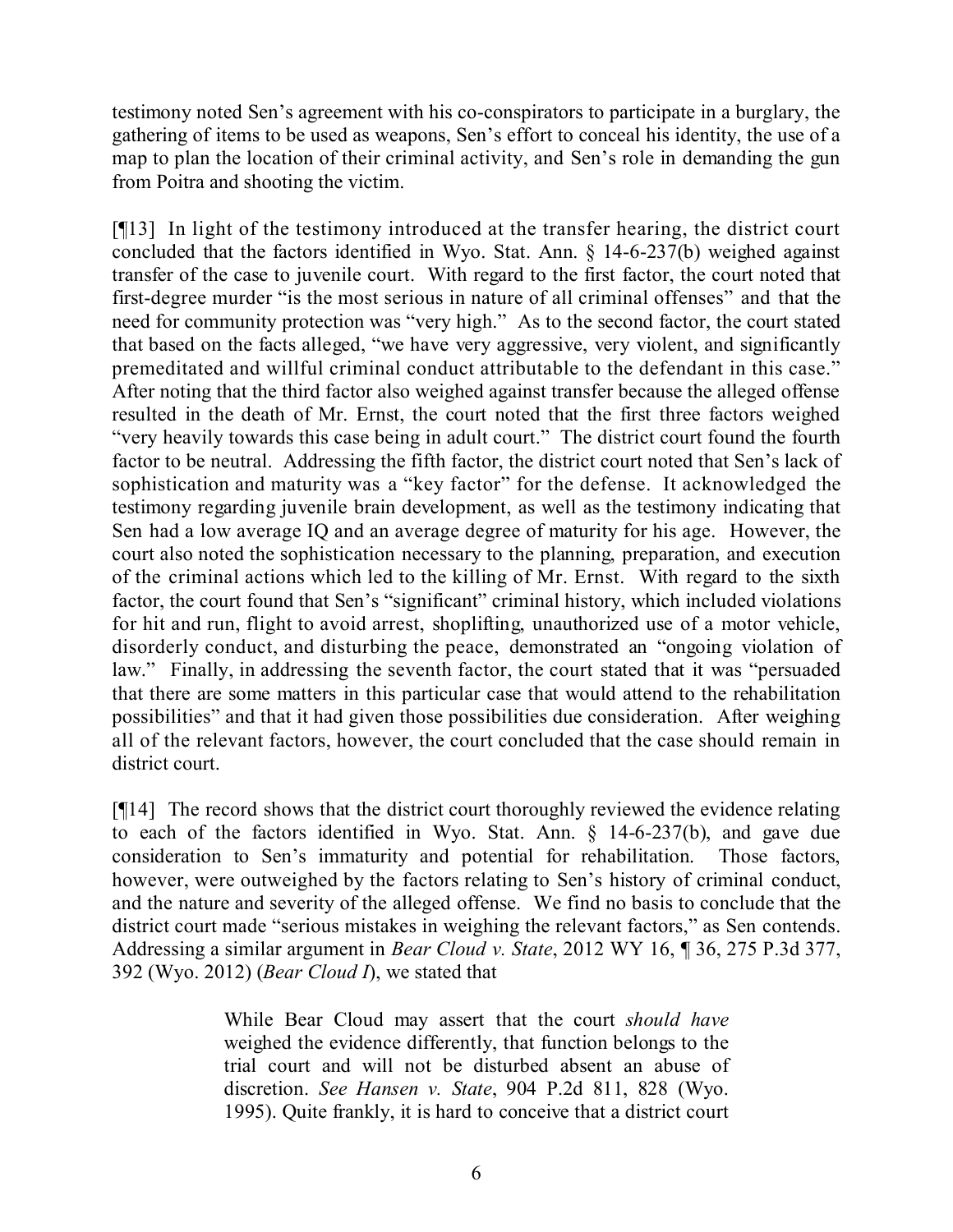testimony noted Sen's agreement with his co-conspirators to participate in a burglary, the gathering of items to be used as weapons, Sen's effort to conceal his identity, the use of a map to plan the location of their criminal activity, and Sen's role in demanding the gun from Poitra and shooting the victim.

[¶13] In light of the testimony introduced at the transfer hearing, the district court concluded that the factors identified in Wyo. Stat. Ann. § 14-6-237(b) weighed against transfer of the case to juvenile court. With regard to the first factor, the court noted that first-degree murder "is the most serious in nature of all criminal offenses" and that the need for community protection was "very high." As to the second factor, the court stated that based on the facts alleged, "we have very aggressive, very violent, and significantly premeditated and willful criminal conduct attributable to the defendant in this case." After noting that the third factor also weighed against transfer because the alleged offense resulted in the death of Mr. Ernst, the court noted that the first three factors weighed "very heavily towards this case being in adult court." The district court found the fourth factor to be neutral. Addressing the fifth factor, the district court noted that Sen's lack of sophistication and maturity was a "key factor" for the defense. It acknowledged the testimony regarding juvenile brain development, as well as the testimony indicating that Sen had a low average IQ and an average degree of maturity for his age. However, the court also noted the sophistication necessary to the planning, preparation, and execution of the criminal actions which led to the killing of Mr. Ernst. With regard to the sixth factor, the court found that Sen's "significant" criminal history, which included violations for hit and run, flight to avoid arrest, shoplifting, unauthorized use of a motor vehicle, disorderly conduct, and disturbing the peace, demonstrated an "ongoing violation of law." Finally, in addressing the seventh factor, the court stated that it was "persuaded that there are some matters in this particular case that would attend to the rehabilitation possibilities" and that it had given those possibilities due consideration. After weighing all of the relevant factors, however, the court concluded that the case should remain in district court.

[¶14] The record shows that the district court thoroughly reviewed the evidence relating to each of the factors identified in Wyo. Stat. Ann. § 14-6-237(b), and gave due consideration to Sen's immaturity and potential for rehabilitation. Those factors, however, were outweighed by the factors relating to Sen's history of criminal conduct, and the nature and severity of the alleged offense. We find no basis to conclude that the district court made "serious mistakes in weighing the relevant factors," as Sen contends. Addressing a similar argument in *Bear Cloud v. State*, 2012 WY 16, ¶ 36, 275 P.3d 377, 392 (Wyo. 2012) (*Bear Cloud I*), we stated that

> While Bear Cloud may assert that the court *should have* weighed the evidence differently, that function belongs to the trial court and will not be disturbed absent an abuse of discretion. *See Hansen v. State*, 904 P.2d 811, 828 (Wyo. 1995). Quite frankly, it is hard to conceive that a district court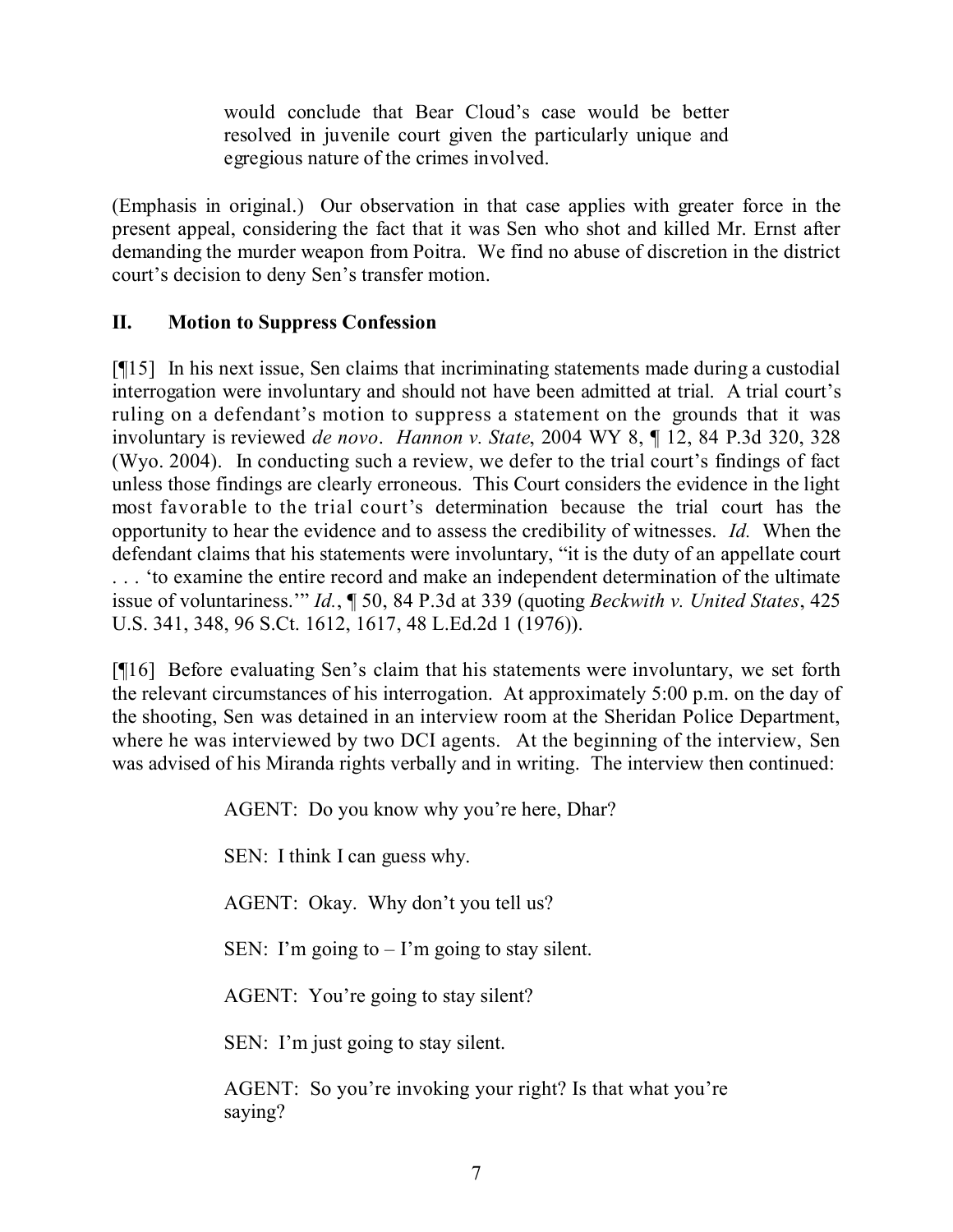would conclude that Bear Cloud's case would be better resolved in juvenile court given the particularly unique and egregious nature of the crimes involved.

(Emphasis in original.) Our observation in that case applies with greater force in the present appeal, considering the fact that it was Sen who shot and killed Mr. Ernst after demanding the murder weapon from Poitra. We find no abuse of discretion in the district court's decision to deny Sen's transfer motion.

# **II. Motion to Suppress Confession**

[¶15] In his next issue, Sen claims that incriminating statements made during a custodial interrogation were involuntary and should not have been admitted at trial. A trial court's ruling on a defendant's motion to suppress a statement on the grounds that it was involuntary is reviewed *de novo*. *Hannon v. State*, 2004 WY 8, ¶ 12, 84 P.3d 320, 328 (Wyo. 2004). In conducting such a review, we defer to the trial court's findings of fact unless those findings are clearly erroneous. This Court considers the evidence in the light most favorable to the trial court's determination because the trial court has the opportunity to hear the evidence and to assess the credibility of witnesses. *Id.* When the defendant claims that his statements were involuntary, "it is the duty of an appellate court . . . 'to examine the entire record and make an independent determination of the ultimate issue of voluntariness.'" *Id.*, ¶ 50, 84 P.3d at 339 (quoting *Beckwith v. United States*, 425 U.S. 341, 348, 96 S.Ct. 1612, 1617, 48 L.Ed.2d 1 (1976)).

[¶16] Before evaluating Sen's claim that his statements were involuntary, we set forth the relevant circumstances of his interrogation. At approximately 5:00 p.m. on the day of the shooting, Sen was detained in an interview room at the Sheridan Police Department, where he was interviewed by two DCI agents. At the beginning of the interview, Sen was advised of his Miranda rights verbally and in writing. The interview then continued:

AGENT: Do you know why you're here, Dhar?

SEN: I think I can guess why.

AGENT: Okay. Why don't you tell us?

SEN: I'm going to  $-1$ 'm going to stay silent.

AGENT: You're going to stay silent?

SEN: I'm just going to stay silent.

AGENT: So you're invoking your right? Is that what you're saying?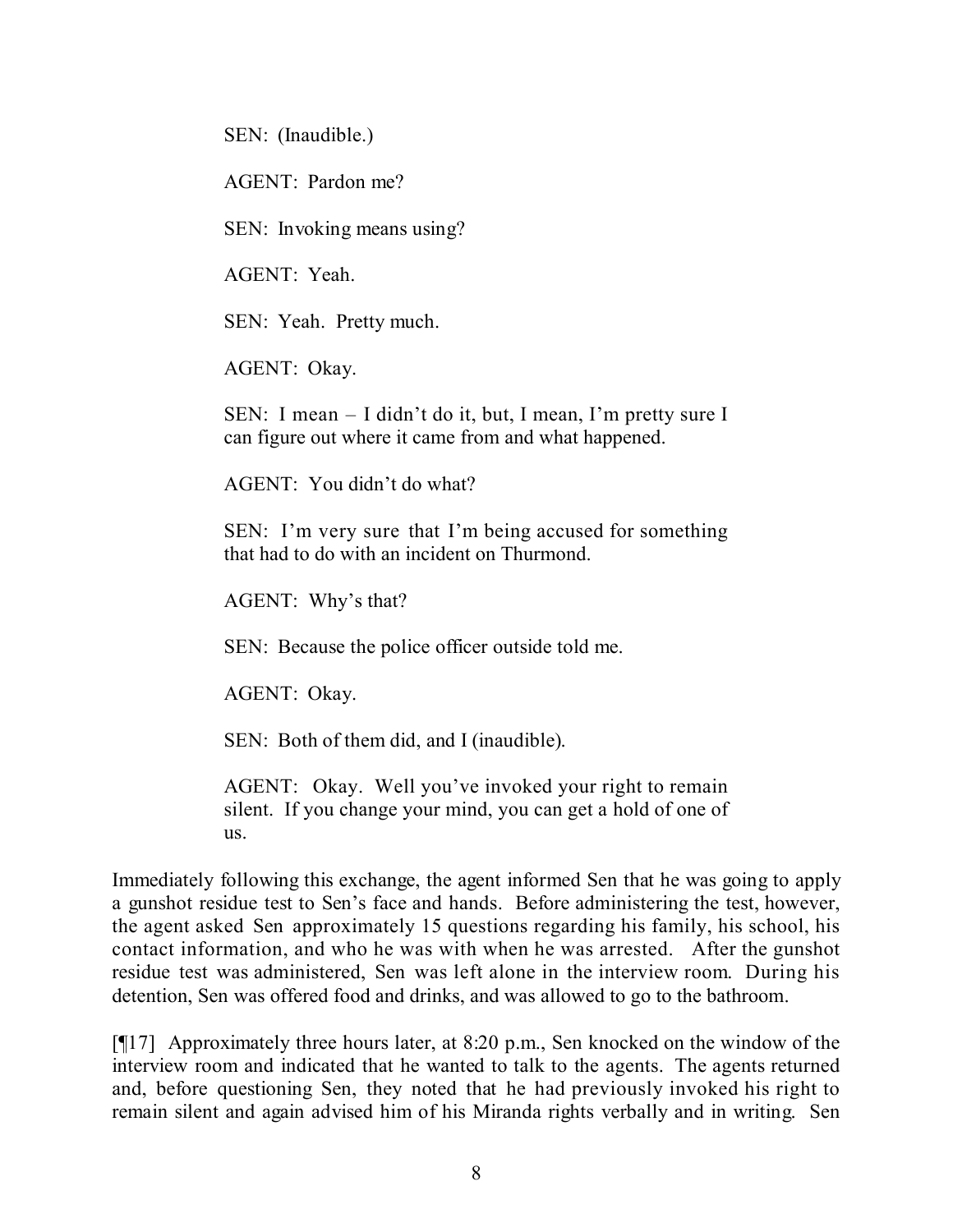SEN: (Inaudible.)

AGENT: Pardon me?

SEN: Invoking means using?

AGENT: Yeah.

SEN: Yeah. Pretty much.

AGENT: Okay.

SEN: I mean – I didn't do it, but, I mean, I'm pretty sure I can figure out where it came from and what happened.

AGENT: You didn't do what?

SEN: I'm very sure that I'm being accused for something that had to do with an incident on Thurmond.

AGENT: Why's that?

SEN: Because the police officer outside told me.

AGENT: Okay.

SEN: Both of them did, and I (inaudible).

AGENT: Okay. Well you've invoked your right to remain silent. If you change your mind, you can get a hold of one of us.

Immediately following this exchange, the agent informed Sen that he was going to apply a gunshot residue test to Sen's face and hands. Before administering the test, however, the agent asked Sen approximately 15 questions regarding his family, his school, his contact information, and who he was with when he was arrested. After the gunshot residue test was administered, Sen was left alone in the interview room. During his detention, Sen was offered food and drinks, and was allowed to go to the bathroom.

[¶17] Approximately three hours later, at 8:20 p.m., Sen knocked on the window of the interview room and indicated that he wanted to talk to the agents. The agents returned and, before questioning Sen, they noted that he had previously invoked his right to remain silent and again advised him of his Miranda rights verbally and in writing. Sen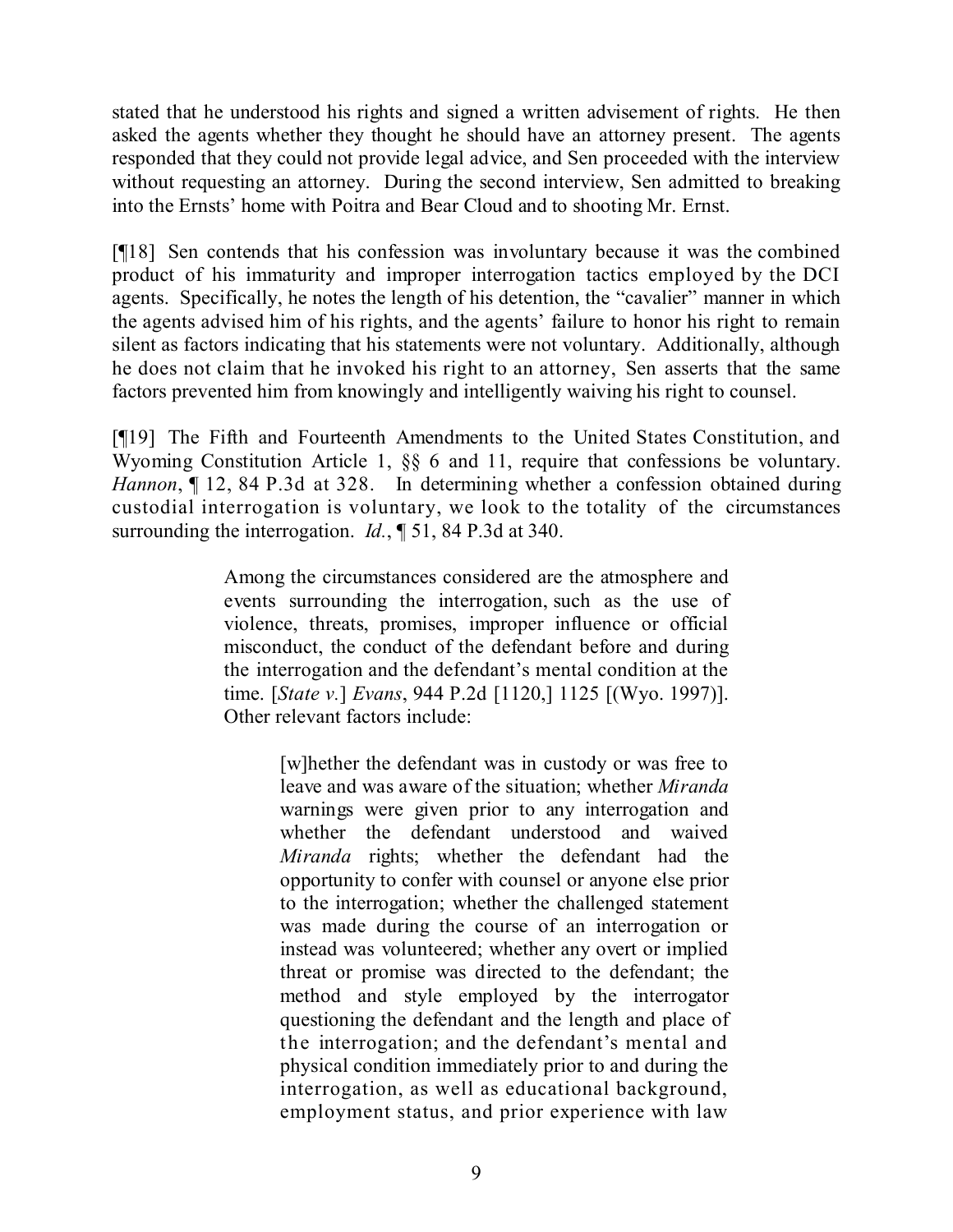stated that he understood his rights and signed a written advisement of rights. He then asked the agents whether they thought he should have an attorney present. The agents responded that they could not provide legal advice, and Sen proceeded with the interview without requesting an attorney. During the second interview, Sen admitted to breaking into the Ernsts' home with Poitra and Bear Cloud and to shooting Mr. Ernst.

[¶18] Sen contends that his confession was involuntary because it was the combined product of his immaturity and improper interrogation tactics employed by the DCI agents. Specifically, he notes the length of his detention, the "cavalier" manner in which the agents advised him of his rights, and the agents' failure to honor his right to remain silent as factors indicating that his statements were not voluntary. Additionally, although he does not claim that he invoked his right to an attorney, Sen asserts that the same factors prevented him from knowingly and intelligently waiving his right to counsel.

[¶19] The Fifth and Fourteenth Amendments to the United States Constitution, and Wyoming Constitution Article 1, §§ 6 and 11, require that confessions be voluntary. *Hannon*, ¶ 12, 84 P.3d at 328. In determining whether a confession obtained during custodial interrogation is voluntary, we look to the totality of the circumstances surrounding the interrogation. *Id.*, ¶ 51, 84 P.3d at 340.

> Among the circumstances considered are the atmosphere and events surrounding the interrogation, such as the use of violence, threats, promises, improper influence or official misconduct, the conduct of the defendant before and during the interrogation and the defendant's mental condition at the time. [*State v.*] *Evans*, 944 P.2d [1120,] 1125 [(Wyo. 1997)]. Other relevant factors include:

> > [w]hether the defendant was in custody or was free to leave and was aware of the situation; whether *Miranda* warnings were given prior to any interrogation and whether the defendant understood and waived *Miranda* rights; whether the defendant had the opportunity to confer with counsel or anyone else prior to the interrogation; whether the challenged statement was made during the course of an interrogation or instead was volunteered; whether any overt or implied threat or promise was directed to the defendant; the method and style employed by the interrogator questioning the defendant and the length and place of the interrogation; and the defendant's mental and physical condition immediately prior to and during the interrogation, as well as educational background, employment status, and prior experience with law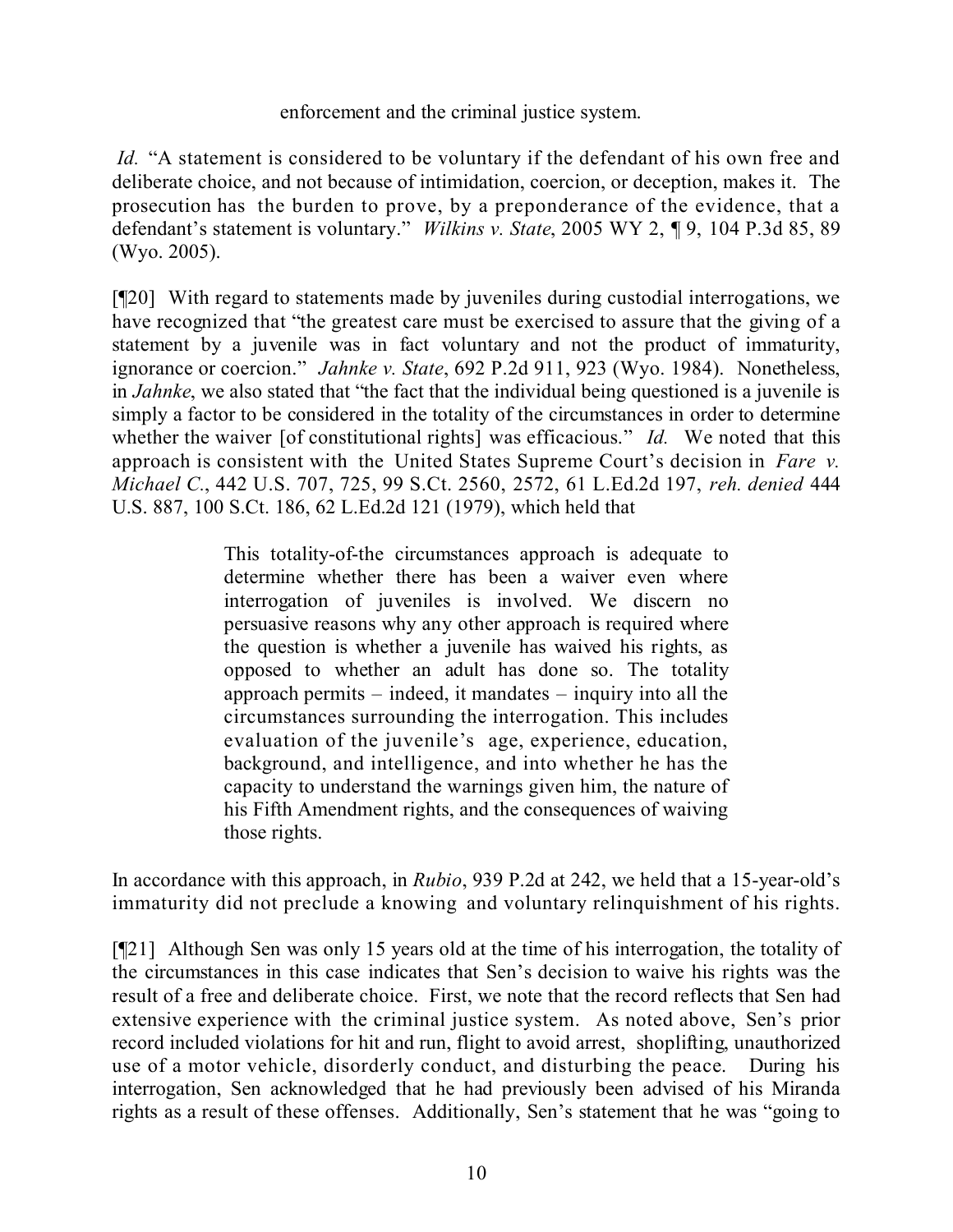enforcement and the criminal justice system.

*Id.* "A statement is considered to be voluntary if the defendant of his own free and deliberate choice, and not because of intimidation, coercion, or deception, makes it. The prosecution has the burden to prove, by a preponderance of the evidence, that a defendant's statement is voluntary." *Wilkins v. State*, 2005 WY 2, ¶ 9, 104 P.3d 85, 89 (Wyo. 2005).

[¶20] With regard to statements made by juveniles during custodial interrogations, we have recognized that "the greatest care must be exercised to assure that the giving of a statement by a juvenile was in fact voluntary and not the product of immaturity, ignorance or coercion." *Jahnke v. State*, 692 P.2d 911, 923 (Wyo. 1984). Nonetheless, in *Jahnke*, we also stated that "the fact that the individual being questioned is a juvenile is simply a factor to be considered in the totality of the circumstances in order to determine whether the waiver [of constitutional rights] was efficacious." *Id.* We noted that this approach is consistent with the United States Supreme Court's decision in *Fare v. Michael C.*, 442 U.S. 707, 725, 99 S.Ct. 2560, 2572, 61 L.Ed.2d 197, *reh. denied* 444 U.S. 887, 100 S.Ct. 186, 62 L.Ed.2d 121 (1979), which held that

> This totality-of-the circumstances approach is adequate to determine whether there has been a waiver even where interrogation of juveniles is involved. We discern no persuasive reasons why any other approach is required where the question is whether a juvenile has waived his rights, as opposed to whether an adult has done so. The totality approach permits – indeed, it mandates – inquiry into all the circumstances surrounding the interrogation. This includes evaluation of the juvenile's age, experience, education, background, and intelligence, and into whether he has the capacity to understand the warnings given him, the nature of his Fifth Amendment rights, and the consequences of waiving those rights.

In accordance with this approach, in *Rubio*, 939 P.2d at 242, we held that a 15-year-old's immaturity did not preclude a knowing and voluntary relinquishment of his rights.

[¶21] Although Sen was only 15 years old at the time of his interrogation, the totality of the circumstances in this case indicates that Sen's decision to waive his rights was the result of a free and deliberate choice. First, we note that the record reflects that Sen had extensive experience with the criminal justice system. As noted above, Sen's prior record included violations for hit and run, flight to avoid arrest, shoplifting, unauthorized use of a motor vehicle, disorderly conduct, and disturbing the peace. During his interrogation, Sen acknowledged that he had previously been advised of his Miranda rights as a result of these offenses. Additionally, Sen's statement that he was "going to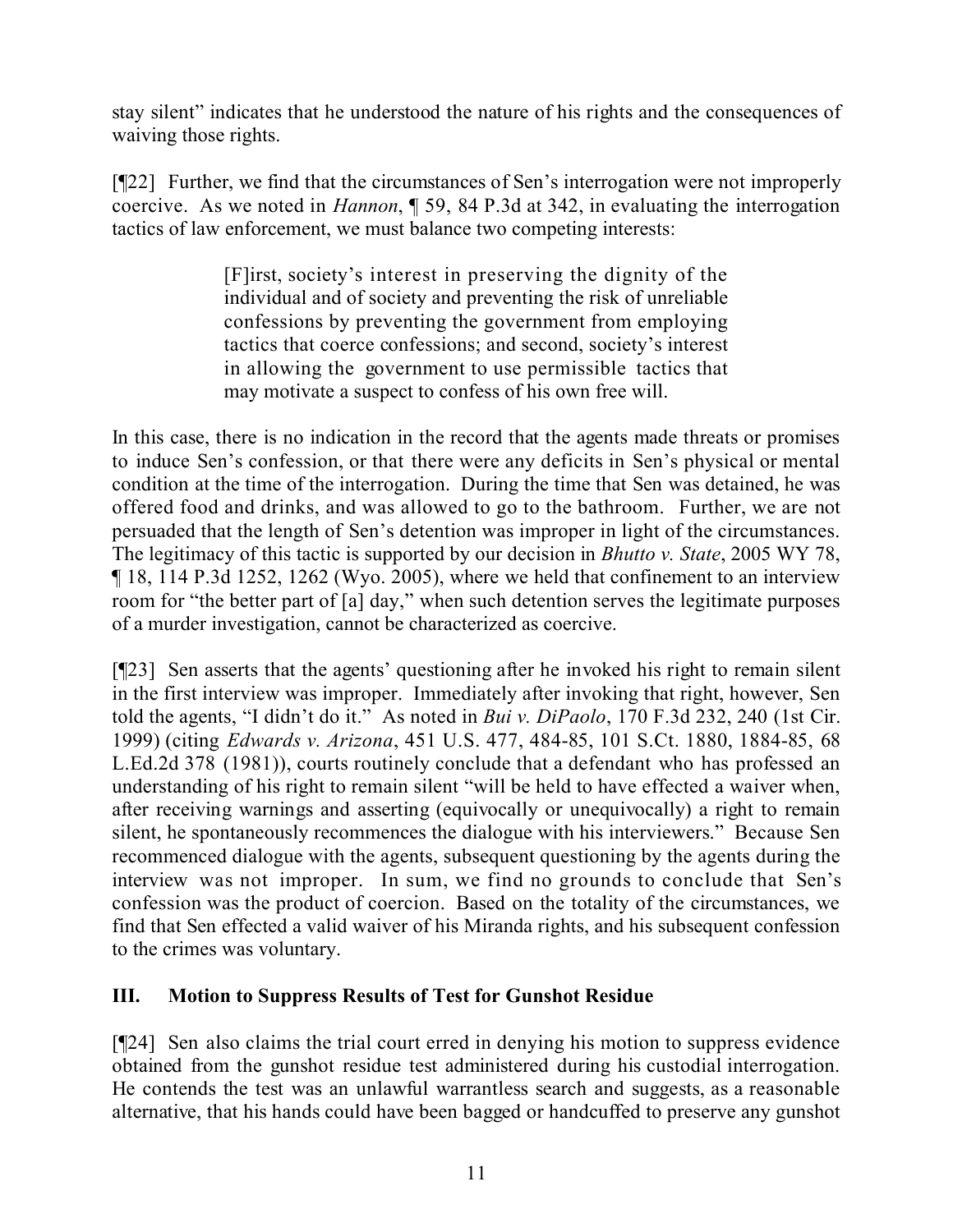stay silent" indicates that he understood the nature of his rights and the consequences of waiving those rights.

[¶22] Further, we find that the circumstances of Sen's interrogation were not improperly coercive. As we noted in *Hannon*, ¶ 59, 84 P.3d at 342, in evaluating the interrogation tactics of law enforcement, we must balance two competing interests:

> [F]irst, society's interest in preserving the dignity of the individual and of society and preventing the risk of unreliable confessions by preventing the government from employing tactics that coerce confessions; and second, society's interest in allowing the government to use permissible tactics that may motivate a suspect to confess of his own free will.

In this case, there is no indication in the record that the agents made threats or promises to induce Sen's confession, or that there were any deficits in Sen's physical or mental condition at the time of the interrogation. During the time that Sen was detained, he was offered food and drinks, and was allowed to go to the bathroom. Further, we are not persuaded that the length of Sen's detention was improper in light of the circumstances. The legitimacy of this tactic is supported by our decision in *Bhutto v. State*, 2005 WY 78, ¶ 18, 114 P.3d 1252, 1262 (Wyo. 2005), where we held that confinement to an interview room for "the better part of [a] day," when such detention serves the legitimate purposes of a murder investigation, cannot be characterized as coercive.

[¶23] Sen asserts that the agents' questioning after he invoked his right to remain silent in the first interview was improper. Immediately after invoking that right, however, Sen told the agents, "I didn't do it." As noted in *Bui v. DiPaolo*, 170 F.3d 232, 240 (1st Cir. 1999) (citing *Edwards v. Arizona*, 451 U.S. 477, 484-85, 101 S.Ct. 1880, 1884-85, 68 L.Ed.2d 378 (1981)), courts routinely conclude that a defendant who has professed an understanding of his right to remain silent "will be held to have effected a waiver when, after receiving warnings and asserting (equivocally or unequivocally) a right to remain silent, he spontaneously recommences the dialogue with his interviewers." Because Sen recommenced dialogue with the agents, subsequent questioning by the agents during the interview was not improper. In sum, we find no grounds to conclude that Sen's confession was the product of coercion. Based on the totality of the circumstances, we find that Sen effected a valid waiver of his Miranda rights, and his subsequent confession to the crimes was voluntary.

# **III. Motion to Suppress Results of Test for Gunshot Residue**

[¶24] Sen also claims the trial court erred in denying his motion to suppress evidence obtained from the gunshot residue test administered during his custodial interrogation. He contends the test was an unlawful warrantless search and suggests, as a reasonable alternative, that his hands could have been bagged or handcuffed to preserve any gunshot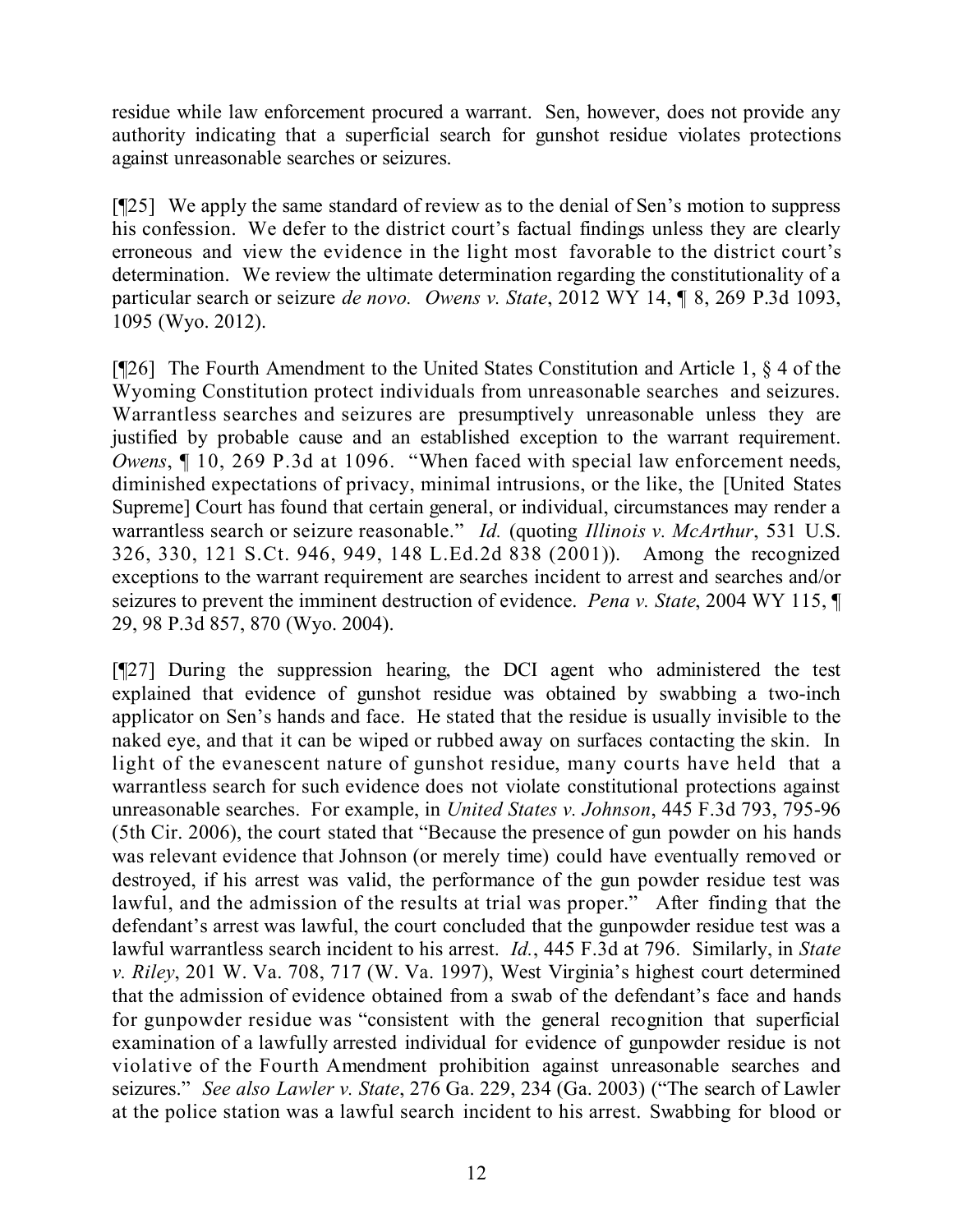residue while law enforcement procured a warrant. Sen, however, does not provide any authority indicating that a superficial search for gunshot residue violates protections against unreasonable searches or seizures.

[¶25] We apply the same standard of review as to the denial of Sen's motion to suppress his confession. We defer to the district court's factual findings unless they are clearly erroneous and view the evidence in the light most favorable to the district court's determination. We review the ultimate determination regarding the constitutionality of a particular search or seizure *de novo. Owens v. State*, 2012 WY 14, ¶ 8, 269 P.3d 1093, 1095 (Wyo. 2012).

[¶26] The Fourth Amendment to the United States Constitution and Article 1, § 4 of the Wyoming Constitution protect individuals from unreasonable searches and seizures. Warrantless searches and seizures are presumptively unreasonable unless they are justified by probable cause and an established exception to the warrant requirement. *Owens*,  $\P$  10, 269 P.3d at 1096. "When faced with special law enforcement needs, diminished expectations of privacy, minimal intrusions, or the like, the [United States Supreme] Court has found that certain general, or individual, circumstances may render a warrantless search or seizure reasonable." *Id.* (quoting *Illinois v. McArthur*, 531 U.S. 326, 330, 121 S.Ct. 946, 949, 148 L.Ed.2d 838 (2001)). Among the recognized exceptions to the warrant requirement are searches incident to arrest and searches and/or seizures to prevent the imminent destruction of evidence. *Pena v. State*, 2004 WY 115, ¶ 29, 98 P.3d 857, 870 (Wyo. 2004).

[¶27] During the suppression hearing, the DCI agent who administered the test explained that evidence of gunshot residue was obtained by swabbing a two-inch applicator on Sen's hands and face. He stated that the residue is usually invisible to the naked eye, and that it can be wiped or rubbed away on surfaces contacting the skin. In light of the evanescent nature of gunshot residue, many courts have held that a warrantless search for such evidence does not violate constitutional protections against unreasonable searches. For example, in *United States v. Johnson*, 445 F.3d 793, 795-96 (5th Cir. 2006), the court stated that "Because the presence of gun powder on his hands was relevant evidence that Johnson (or merely time) could have eventually removed or destroyed, if his arrest was valid, the performance of the gun powder residue test was lawful, and the admission of the results at trial was proper." After finding that the defendant's arrest was lawful, the court concluded that the gunpowder residue test was a lawful warrantless search incident to his arrest. *Id.*, 445 F.3d at 796. Similarly, in *State v. Riley*, 201 W. Va. 708, 717 (W. Va. 1997), West Virginia's highest court determined that the admission of evidence obtained from a swab of the defendant's face and hands for gunpowder residue was "consistent with the general recognition that superficial examination of a lawfully arrested individual for evidence of gunpowder residue is not violative of the Fourth Amendment prohibition against unreasonable searches and seizures." *See also Lawler v. State*, 276 Ga. 229, 234 (Ga. 2003) ("The search of Lawler at the police station was a lawful search incident to his arrest. Swabbing for blood or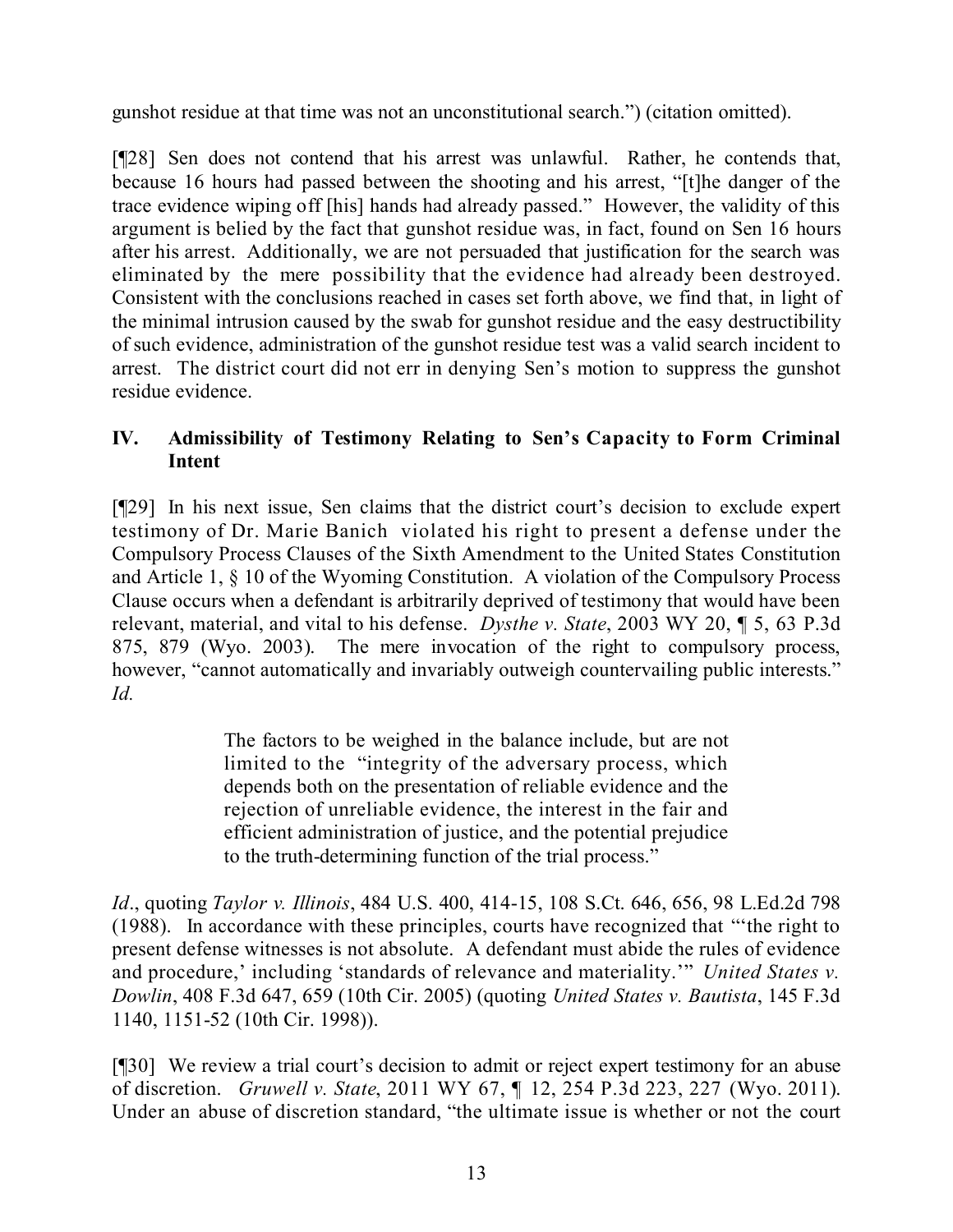gunshot residue at that time was not an unconstitutional search.") (citation omitted).

[¶28] Sen does not contend that his arrest was unlawful. Rather, he contends that, because 16 hours had passed between the shooting and his arrest, "[t]he danger of the trace evidence wiping off [his] hands had already passed." However, the validity of this argument is belied by the fact that gunshot residue was, in fact, found on Sen 16 hours after his arrest. Additionally, we are not persuaded that justification for the search was eliminated by the mere possibility that the evidence had already been destroyed. Consistent with the conclusions reached in cases set forth above, we find that, in light of the minimal intrusion caused by the swab for gunshot residue and the easy destructibility of such evidence, administration of the gunshot residue test was a valid search incident to arrest. The district court did not err in denying Sen's motion to suppress the gunshot residue evidence.

# **IV. Admissibility of Testimony Relating to Sen's Capacity to Form Criminal Intent**

[¶29] In his next issue, Sen claims that the district court's decision to exclude expert testimony of Dr. Marie Banich violated his right to present a defense under the Compulsory Process Clauses of the Sixth Amendment to the United States Constitution and Article 1, § 10 of the Wyoming Constitution. A violation of the Compulsory Process Clause occurs when a defendant is arbitrarily deprived of testimony that would have been relevant, material, and vital to his defense. *Dysthe v. State*, 2003 WY 20, ¶ 5, 63 P.3d 875, 879 (Wyo. 2003). The mere invocation of the right to compulsory process, however, "cannot automatically and invariably outweigh countervailing public interests." *Id.*

> The factors to be weighed in the balance include, but are not limited to the "integrity of the adversary process, which depends both on the presentation of reliable evidence and the rejection of unreliable evidence, the interest in the fair and efficient administration of justice, and the potential prejudice to the truth-determining function of the trial process."

*Id*., quoting *Taylor v. Illinois*, 484 U.S. 400, 414-15, 108 S.Ct. 646, 656, 98 L.Ed.2d 798 (1988). In accordance with these principles, courts have recognized that "'the right to present defense witnesses is not absolute. A defendant must abide the rules of evidence and procedure,' including 'standards of relevance and materiality.'" *United States v. Dowlin*, 408 F.3d 647, 659 (10th Cir. 2005) (quoting *United States v. Bautista*, 145 F.3d 1140, 1151-52 (10th Cir. 1998)).

[¶30] We review a trial court's decision to admit or reject expert testimony for an abuse of discretion. *Gruwell v. State*, 2011 WY 67, ¶ 12, 254 P.3d 223, 227 (Wyo. 2011). Under an abuse of discretion standard, "the ultimate issue is whether or not the court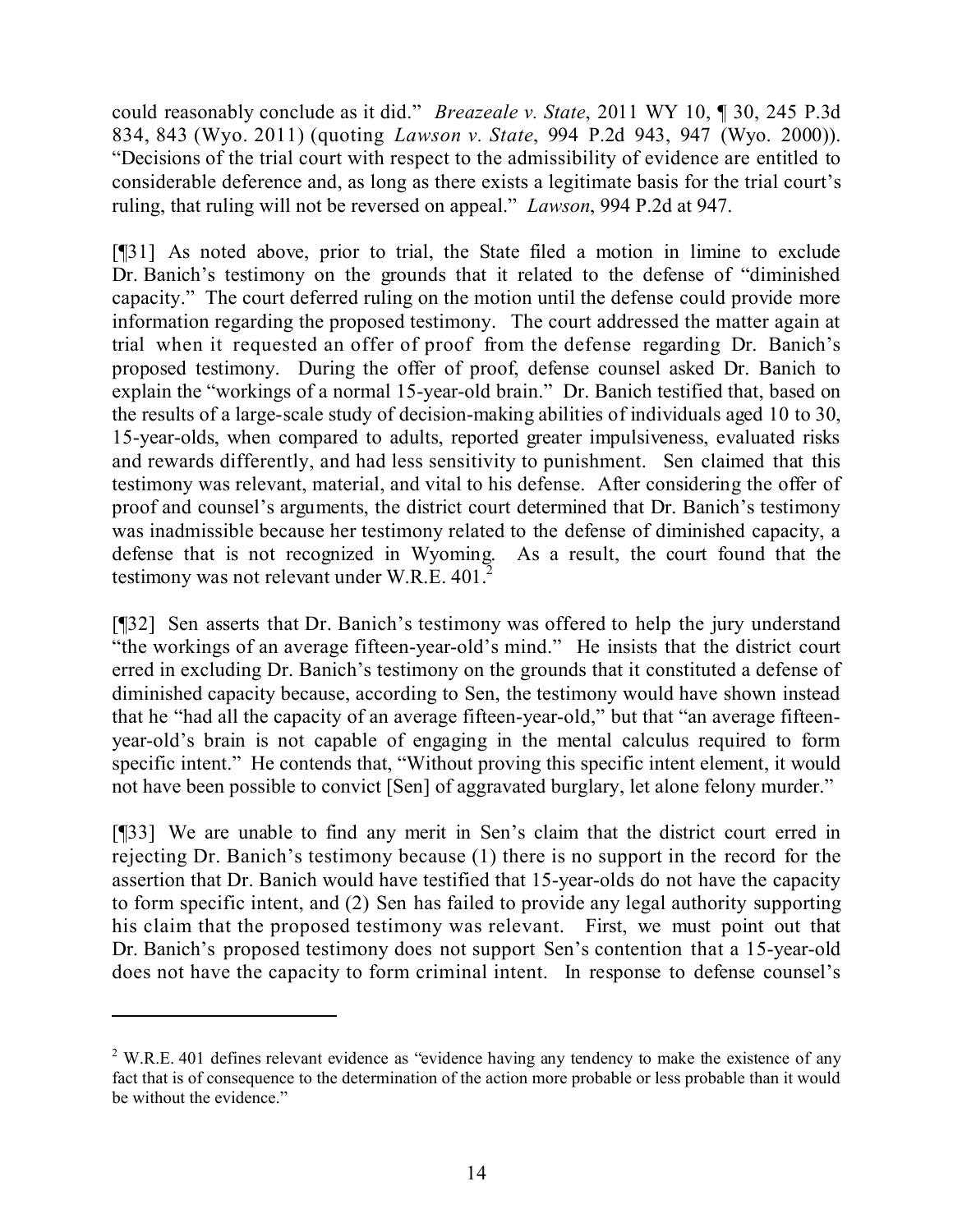could reasonably conclude as it did." *Breazeale v. State*, 2011 WY 10, ¶ 30, 245 P.3d 834, 843 (Wyo. 2011) (quoting *Lawson v. State*, 994 P.2d 943, 947 (Wyo. 2000)). "Decisions of the trial court with respect to the admissibility of evidence are entitled to considerable deference and, as long as there exists a legitimate basis for the trial court's ruling, that ruling will not be reversed on appeal." *Lawson*, 994 P.2d at 947.

[¶31] As noted above, prior to trial, the State filed a motion in limine to exclude Dr. Banich's testimony on the grounds that it related to the defense of "diminished capacity." The court deferred ruling on the motion until the defense could provide more information regarding the proposed testimony. The court addressed the matter again at trial when it requested an offer of proof from the defense regarding Dr. Banich's proposed testimony. During the offer of proof, defense counsel asked Dr. Banich to explain the "workings of a normal 15-year-old brain." Dr. Banich testified that, based on the results of a large-scale study of decision-making abilities of individuals aged 10 to 30, 15-year-olds, when compared to adults, reported greater impulsiveness, evaluated risks and rewards differently, and had less sensitivity to punishment. Sen claimed that this testimony was relevant, material, and vital to his defense. After considering the offer of proof and counsel's arguments, the district court determined that Dr. Banich's testimony was inadmissible because her testimony related to the defense of diminished capacity, a defense that is not recognized in Wyoming. As a result, the court found that the testimony was not relevant under W.R.E. 401. 2

[¶32] Sen asserts that Dr. Banich's testimony was offered to help the jury understand "the workings of an average fifteen-year-old's mind." He insists that the district court erred in excluding Dr. Banich's testimony on the grounds that it constituted a defense of diminished capacity because, according to Sen, the testimony would have shown instead that he "had all the capacity of an average fifteen-year-old," but that "an average fifteenyear-old's brain is not capable of engaging in the mental calculus required to form specific intent." He contends that, "Without proving this specific intent element, it would not have been possible to convict [Sen] of aggravated burglary, let alone felony murder."

[¶33] We are unable to find any merit in Sen's claim that the district court erred in rejecting Dr. Banich's testimony because (1) there is no support in the record for the assertion that Dr. Banich would have testified that 15-year-olds do not have the capacity to form specific intent, and (2) Sen has failed to provide any legal authority supporting his claim that the proposed testimony was relevant. First, we must point out that Dr. Banich's proposed testimony does not support Sen's contention that a 15-year-old does not have the capacity to form criminal intent. In response to defense counsel's

 $2$  W.R.E. 401 defines relevant evidence as "evidence having any tendency to make the existence of any fact that is of consequence to the determination of the action more probable or less probable than it would be without the evidence."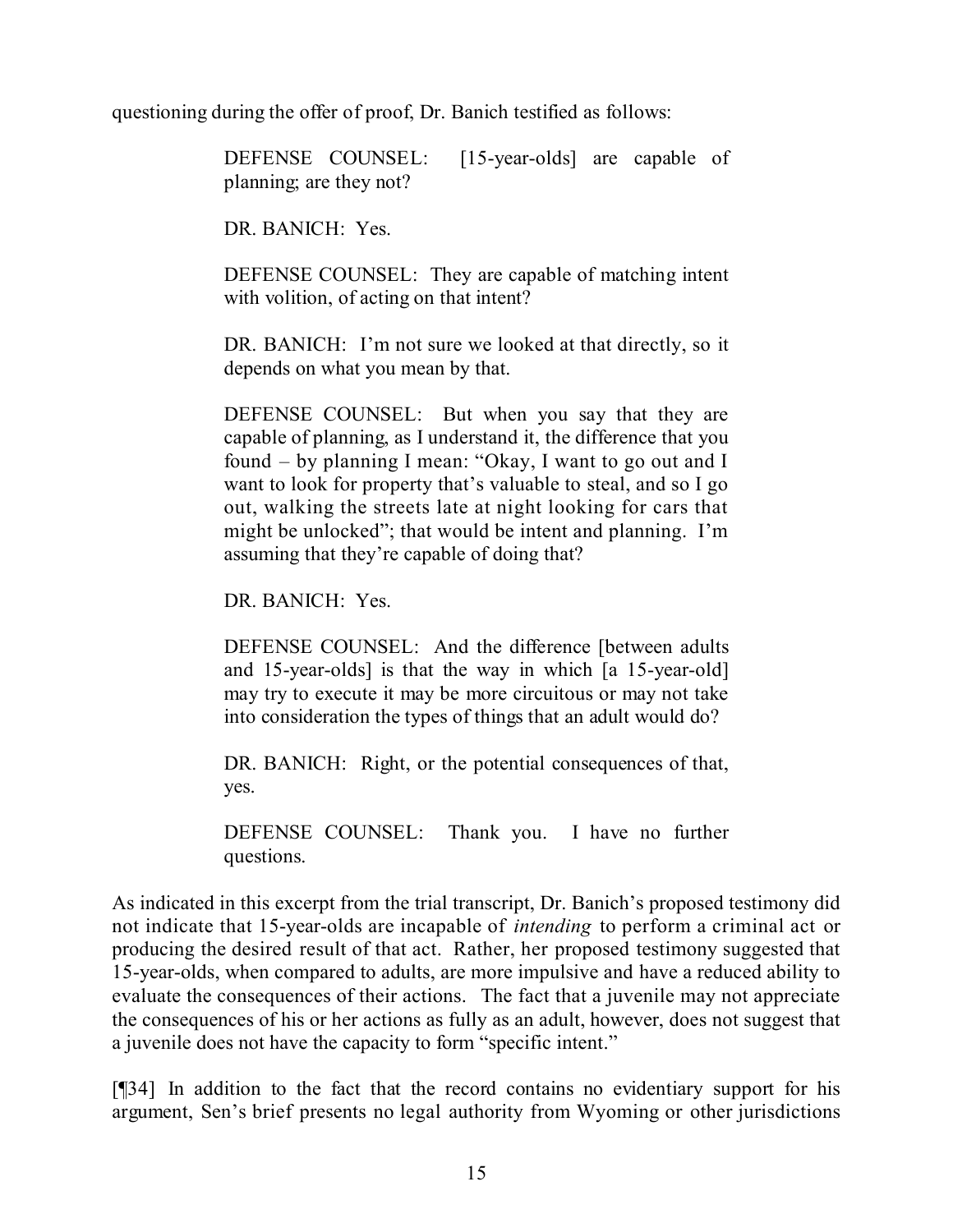questioning during the offer of proof, Dr. Banich testified as follows:

DEFENSE COUNSEL: [15-year-olds] are capable of planning; are they not?

DR. BANICH: Yes.

DEFENSE COUNSEL: They are capable of matching intent with volition, of acting on that intent?

DR. BANICH: I'm not sure we looked at that directly, so it depends on what you mean by that.

DEFENSE COUNSEL: But when you say that they are capable of planning, as I understand it, the difference that you found – by planning I mean: "Okay, I want to go out and I want to look for property that's valuable to steal, and so I go out, walking the streets late at night looking for cars that might be unlocked"; that would be intent and planning. I'm assuming that they're capable of doing that?

DR. BANICH: Yes.

DEFENSE COUNSEL: And the difference [between adults and 15-year-olds] is that the way in which [a 15-year-old] may try to execute it may be more circuitous or may not take into consideration the types of things that an adult would do?

DR. BANICH: Right, or the potential consequences of that, yes.

DEFENSE COUNSEL: Thank you. I have no further questions.

As indicated in this excerpt from the trial transcript, Dr. Banich's proposed testimony did not indicate that 15-year-olds are incapable of *intending* to perform a criminal act or producing the desired result of that act. Rather, her proposed testimony suggested that 15-year-olds, when compared to adults, are more impulsive and have a reduced ability to evaluate the consequences of their actions. The fact that a juvenile may not appreciate the consequences of his or her actions as fully as an adult, however, does not suggest that a juvenile does not have the capacity to form "specific intent."

[¶34] In addition to the fact that the record contains no evidentiary support for his argument, Sen's brief presents no legal authority from Wyoming or other jurisdictions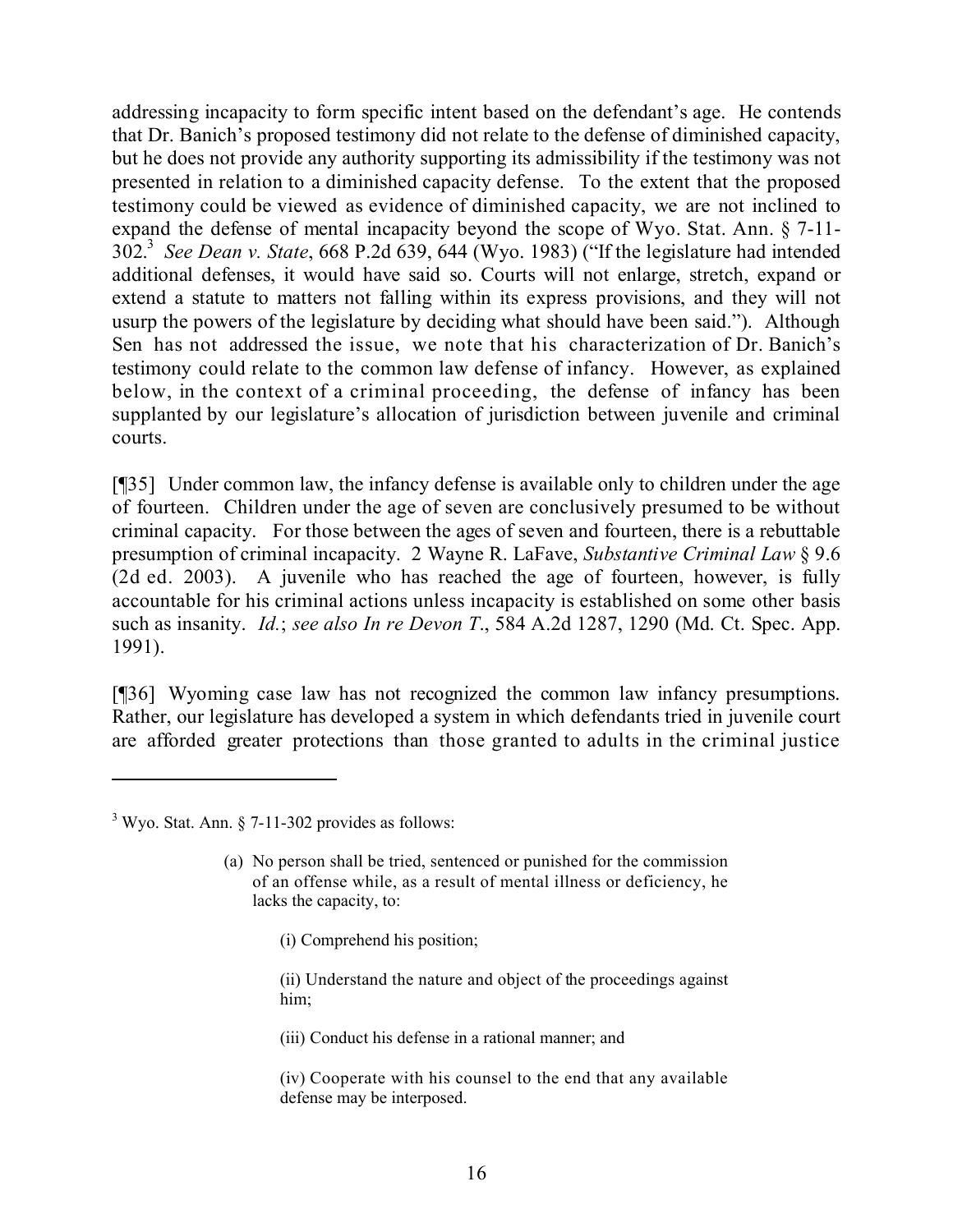addressing incapacity to form specific intent based on the defendant's age. He contends that Dr. Banich's proposed testimony did not relate to the defense of diminished capacity, but he does not provide any authority supporting its admissibility if the testimony was not presented in relation to a diminished capacity defense. To the extent that the proposed testimony could be viewed as evidence of diminished capacity, we are not inclined to expand the defense of mental incapacity beyond the scope of Wyo. Stat. Ann. § 7-11- 302. 3 *See Dean v. State*, 668 P.2d 639, 644 (Wyo. 1983) ("If the legislature had intended additional defenses, it would have said so. Courts will not enlarge, stretch, expand or extend a statute to matters not falling within its express provisions, and they will not usurp the powers of the legislature by deciding what should have been said."). Although Sen has not addressed the issue, we note that his characterization of Dr. Banich's testimony could relate to the common law defense of infancy. However, as explained below, in the context of a criminal proceeding, the defense of infancy has been supplanted by our legislature's allocation of jurisdiction between juvenile and criminal courts.

[¶35] Under common law, the infancy defense is available only to children under the age of fourteen. Children under the age of seven are conclusively presumed to be without criminal capacity. For those between the ages of seven and fourteen, there is a rebuttable presumption of criminal incapacity. 2 Wayne R. LaFave, *Substantive Criminal Law* § 9.6 (2d ed. 2003). A juvenile who has reached the age of fourteen, however, is fully accountable for his criminal actions unless incapacity is established on some other basis such as insanity. *Id.*; *see also In re Devon T*., 584 A.2d 1287, 1290 (Md. Ct. Spec. App. 1991).

[¶36] Wyoming case law has not recognized the common law infancy presumptions. Rather, our legislature has developed a system in which defendants tried in juvenile court are afforded greater protections than those granted to adults in the criminal justice

- (a) No person shall be tried, sentenced or punished for the commission of an offense while, as a result of mental illness or deficiency, he lacks the capacity, to:
	- (i) Comprehend his position;
	- (ii) Understand the nature and object of the proceedings against him;
	- (iii) Conduct his defense in a rational manner; and
	- (iv) Cooperate with his counsel to the end that any available defense may be interposed.

 $3$  Wyo. Stat. Ann. § 7-11-302 provides as follows: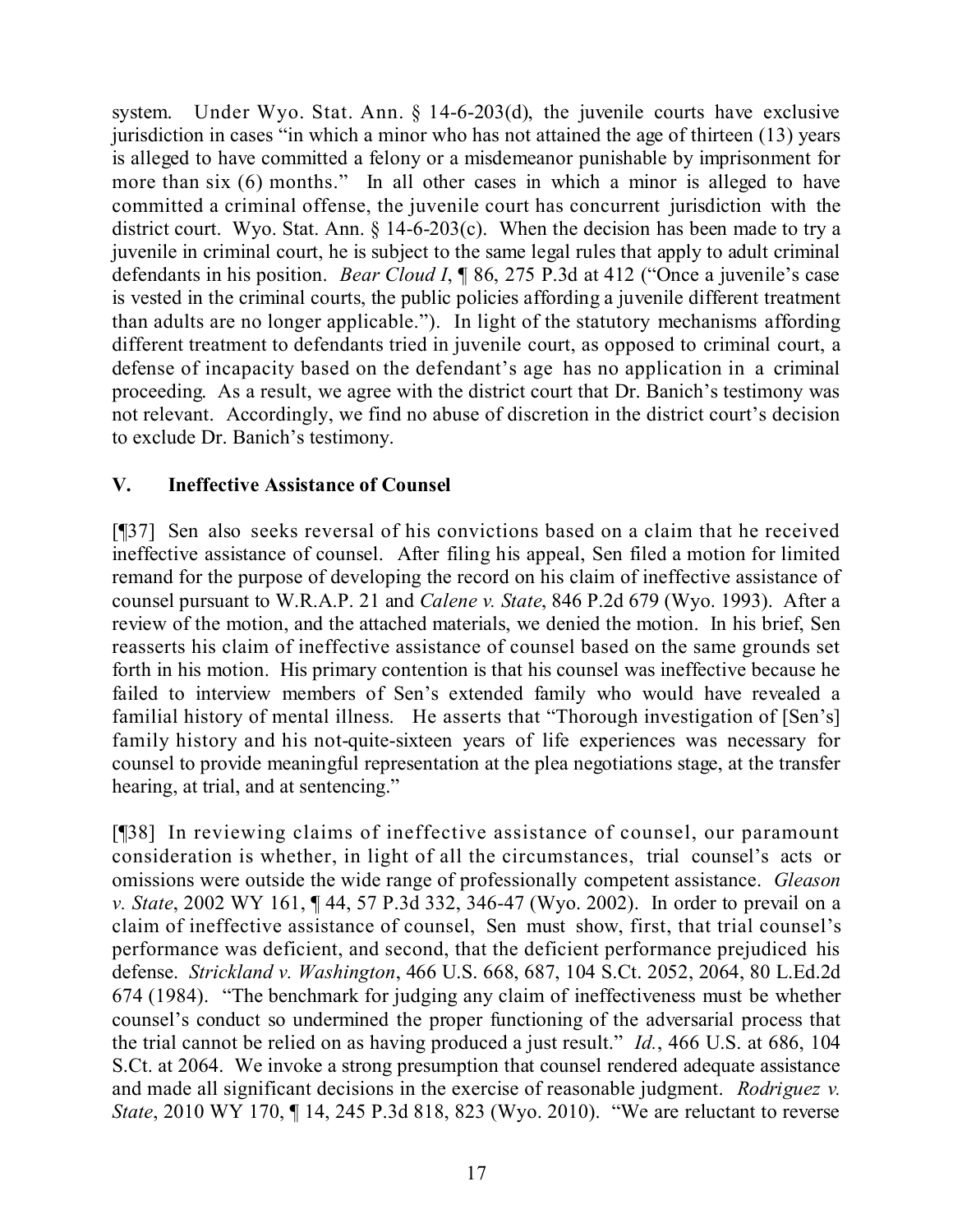system. Under Wyo. Stat. Ann.  $\S$  14-6-203(d), the juvenile courts have exclusive jurisdiction in cases "in which a minor who has not attained the age of thirteen (13) years is alleged to have committed a felony or a misdemeanor punishable by imprisonment for more than six (6) months." In all other cases in which a minor is alleged to have committed a criminal offense, the juvenile court has concurrent jurisdiction with the district court. Wyo. Stat. Ann. § 14-6-203(c). When the decision has been made to try a juvenile in criminal court, he is subject to the same legal rules that apply to adult criminal defendants in his position. *Bear Cloud I*, ¶ 86, 275 P.3d at 412 ("Once a juvenile's case is vested in the criminal courts, the public policies affording a juvenile different treatment than adults are no longer applicable."). In light of the statutory mechanisms affording different treatment to defendants tried in juvenile court, as opposed to criminal court, a defense of incapacity based on the defendant's age has no application in a criminal proceeding. As a result, we agree with the district court that Dr. Banich's testimony was not relevant. Accordingly, we find no abuse of discretion in the district court's decision to exclude Dr. Banich's testimony.

## **V. Ineffective Assistance of Counsel**

[¶37] Sen also seeks reversal of his convictions based on a claim that he received ineffective assistance of counsel. After filing his appeal, Sen filed a motion for limited remand for the purpose of developing the record on his claim of ineffective assistance of counsel pursuant to W.R.A.P. 21 and *Calene v. State*, 846 P.2d 679 (Wyo. 1993). After a review of the motion, and the attached materials, we denied the motion. In his brief, Sen reasserts his claim of ineffective assistance of counsel based on the same grounds set forth in his motion. His primary contention is that his counsel was ineffective because he failed to interview members of Sen's extended family who would have revealed a familial history of mental illness. He asserts that "Thorough investigation of [Sen's] family history and his not-quite-sixteen years of life experiences was necessary for counsel to provide meaningful representation at the plea negotiations stage, at the transfer hearing, at trial, and at sentencing."

[¶38] In reviewing claims of ineffective assistance of counsel, our paramount consideration is whether, in light of all the circumstances, trial counsel's acts or omissions were outside the wide range of professionally competent assistance. *Gleason v. State*, 2002 WY 161, ¶ 44, 57 P.3d 332, 346-47 (Wyo. 2002). In order to prevail on a claim of ineffective assistance of counsel, Sen must show, first, that trial counsel's performance was deficient, and second, that the deficient performance prejudiced his defense. *Strickland v. Washington*, 466 U.S. 668, 687, 104 S.Ct. 2052, 2064, 80 L.Ed.2d 674 (1984). "The benchmark for judging any claim of ineffectiveness must be whether counsel's conduct so undermined the proper functioning of the adversarial process that the trial cannot be relied on as having produced a just result." *Id.*, 466 U.S. at 686, 104 S.Ct. at 2064. We invoke a strong presumption that counsel rendered adequate assistance and made all significant decisions in the exercise of reasonable judgment. *Rodriguez v. State*, 2010 WY 170, 14, 245 P.3d 818, 823 (Wyo. 2010). "We are reluctant to reverse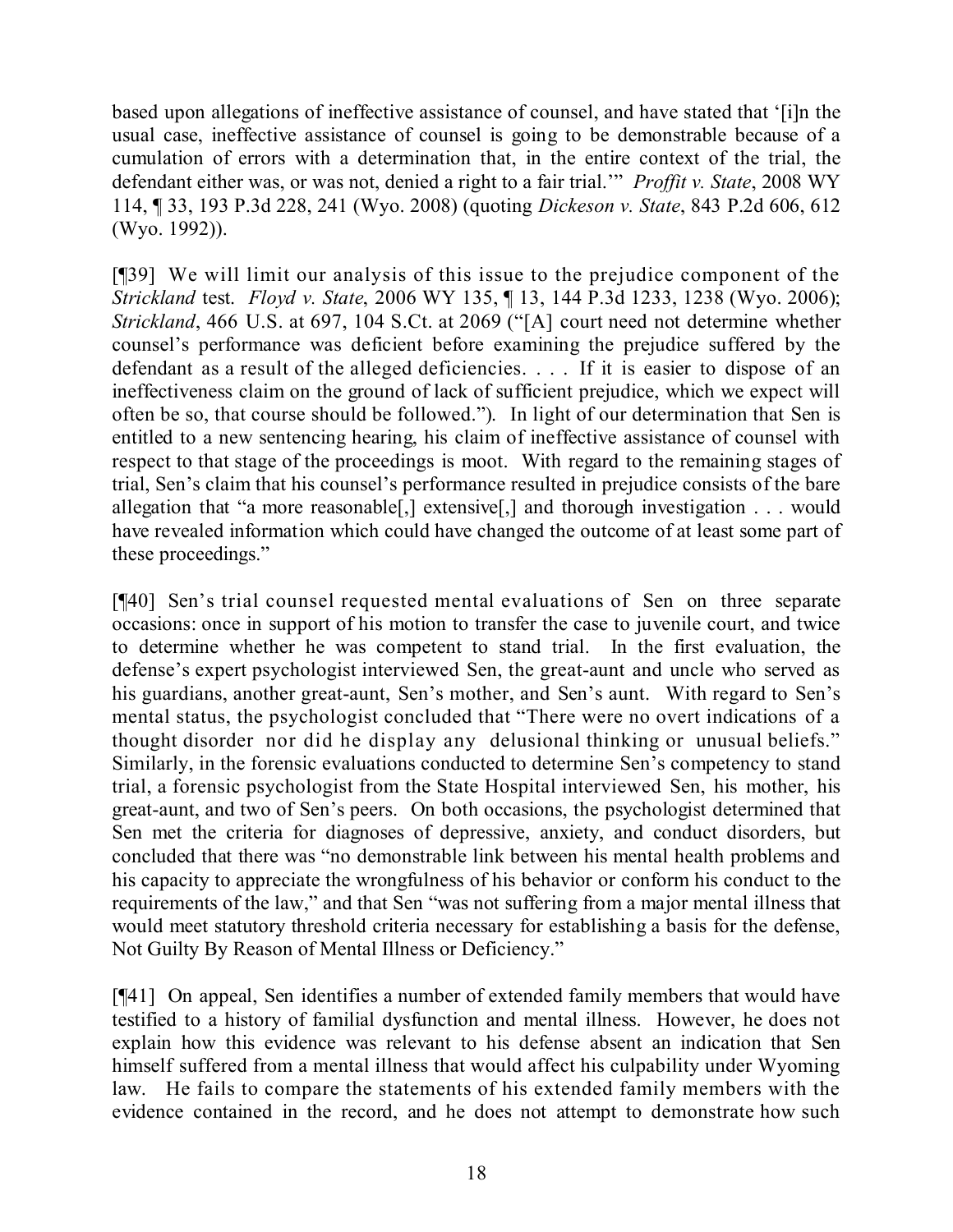based upon allegations of ineffective assistance of counsel, and have stated that '[i]n the usual case, ineffective assistance of counsel is going to be demonstrable because of a cumulation of errors with a determination that, in the entire context of the trial, the defendant either was, or was not, denied a right to a fair trial.'" *Proffit v. State*, 2008 WY 114, ¶ 33, 193 P.3d 228, 241 (Wyo. 2008) (quoting *Dickeson v. State*, 843 P.2d 606, 612 (Wyo. 1992)).

[¶39] We will limit our analysis of this issue to the prejudice component of the *Strickland* test. *Floyd v. State*, 2006 WY 135, ¶ 13, 144 P.3d 1233, 1238 (Wyo. 2006); *Strickland*, 466 U.S. at 697, 104 S.Ct. at 2069 ("[A] court need not determine whether counsel's performance was deficient before examining the prejudice suffered by the defendant as a result of the alleged deficiencies. . . . If it is easier to dispose of an ineffectiveness claim on the ground of lack of sufficient prejudice, which we expect will often be so, that course should be followed."). In light of our determination that Sen is entitled to a new sentencing hearing, his claim of ineffective assistance of counsel with respect to that stage of the proceedings is moot. With regard to the remaining stages of trial, Sen's claim that his counsel's performance resulted in prejudice consists of the bare allegation that "a more reasonable[,] extensive[,] and thorough investigation . . . would have revealed information which could have changed the outcome of at least some part of these proceedings."

[¶40] Sen's trial counsel requested mental evaluations of Sen on three separate occasions: once in support of his motion to transfer the case to juvenile court, and twice to determine whether he was competent to stand trial. In the first evaluation, the defense's expert psychologist interviewed Sen, the great-aunt and uncle who served as his guardians, another great-aunt, Sen's mother, and Sen's aunt. With regard to Sen's mental status, the psychologist concluded that "There were no overt indications of a thought disorder nor did he display any delusional thinking or unusual beliefs." Similarly, in the forensic evaluations conducted to determine Sen's competency to stand trial, a forensic psychologist from the State Hospital interviewed Sen, his mother, his great-aunt, and two of Sen's peers. On both occasions, the psychologist determined that Sen met the criteria for diagnoses of depressive, anxiety, and conduct disorders, but concluded that there was "no demonstrable link between his mental health problems and his capacity to appreciate the wrongfulness of his behavior or conform his conduct to the requirements of the law," and that Sen "was not suffering from a major mental illness that would meet statutory threshold criteria necessary for establishing a basis for the defense, Not Guilty By Reason of Mental Illness or Deficiency."

[¶41] On appeal, Sen identifies a number of extended family members that would have testified to a history of familial dysfunction and mental illness. However, he does not explain how this evidence was relevant to his defense absent an indication that Sen himself suffered from a mental illness that would affect his culpability under Wyoming law. He fails to compare the statements of his extended family members with the evidence contained in the record, and he does not attempt to demonstrate how such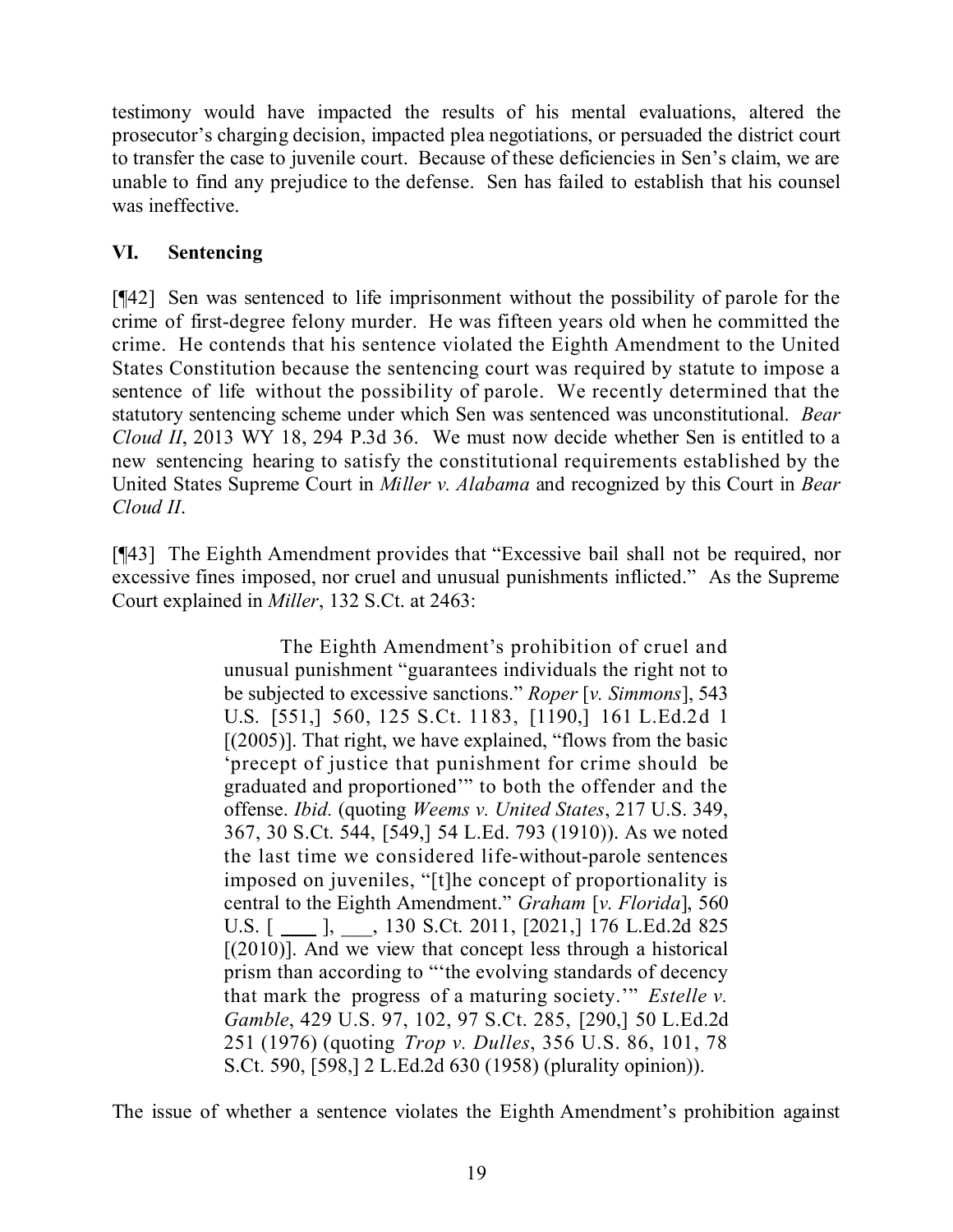testimony would have impacted the results of his mental evaluations, altered the prosecutor's charging decision, impacted plea negotiations, or persuaded the district court to transfer the case to juvenile court. Because of these deficiencies in Sen's claim, we are unable to find any prejudice to the defense. Sen has failed to establish that his counsel was ineffective.

## **VI. Sentencing**

[¶42] Sen was sentenced to life imprisonment without the possibility of parole for the crime of first-degree felony murder. He was fifteen years old when he committed the crime. He contends that his sentence violated the Eighth Amendment to the United States Constitution because the sentencing court was required by statute to impose a sentence of life without the possibility of parole. We recently determined that the statutory sentencing scheme under which Sen was sentenced was unconstitutional. *Bear Cloud II*, 2013 WY 18, 294 P.3d 36. We must now decide whether Sen is entitled to a new sentencing hearing to satisfy the constitutional requirements established by the United States Supreme Court in *Miller v. Alabama* and recognized by this Court in *Bear Cloud II*.

[¶43] The Eighth Amendment provides that "Excessive bail shall not be required, nor excessive fines imposed, nor cruel and unusual punishments inflicted." As the Supreme Court explained in *Miller*, 132 S.Ct. at 2463:

> The Eighth Amendment's prohibition of cruel and unusual punishment "guarantees individuals the right not to be subjected to excessive sanctions." *Roper* [*v. Simmons*], 543 U.S. [551,] 560, 125 S.Ct. 1183, [1190,] 161 L.Ed.2d 1  $[(2005)]$ . That right, we have explained, "flows from the basic 'precept of justice that punishment for crime should be graduated and proportioned'" to both the offender and the offense. *Ibid.* (quoting *Weems v. United States*, 217 U.S. 349, 367, 30 S.Ct. 544, [549,] 54 L.Ed. 793 (1910)). As we noted the last time we considered life-without-parole sentences imposed on juveniles, "[t]he concept of proportionality is central to the Eighth Amendment." *Graham* [*v. Florida*], 560 U.S. [ \_\_\_\_ ], \_\_\_, 130 S.Ct. 2011, [2021,] 176 L.Ed.2d 825  $[(2010)]$ . And we view that concept less through a historical prism than according to "'the evolving standards of decency that mark the progress of a maturing society.'" *Estelle v. Gamble*, 429 U.S. 97, 102, 97 S.Ct. 285, [290,] 50 L.Ed.2d 251 (1976) (quoting *Trop v. Dulles*, 356 U.S. 86, 101, 78 S.Ct. 590, [598,] 2 L.Ed.2d 630 (1958) (plurality opinion)).

The issue of whether a sentence violates the Eighth Amendment's prohibition against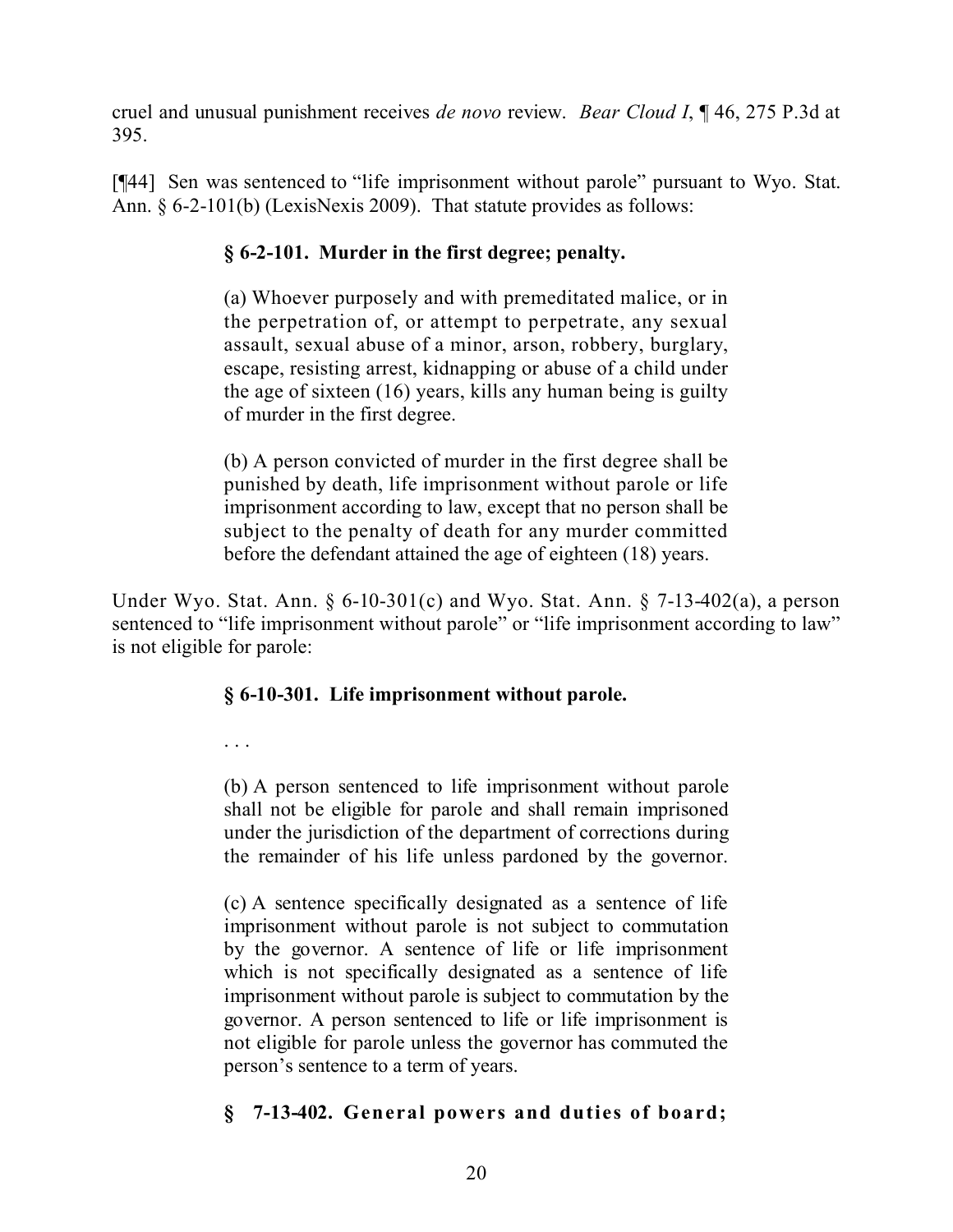cruel and unusual punishment receives *de novo* review. *Bear Cloud I*, ¶ 46, 275 P.3d at 395.

[¶44] Sen was sentenced to "life imprisonment without parole" pursuant to Wyo. Stat. Ann. § 6-2-101(b) (LexisNexis 2009). That statute provides as follows:

## **§ 6-2-101. Murder in the first degree; penalty.**

(a) Whoever purposely and with premeditated malice, or in the perpetration of, or attempt to perpetrate, any sexual assault, sexual abuse of a minor, arson, robbery, burglary, escape, resisting arrest, kidnapping or abuse of a child under the age of sixteen (16) years, kills any human being is guilty of murder in the first degree.

(b) A person convicted of murder in the first degree shall be punished by death, life imprisonment without parole or life imprisonment according to law, except that no person shall be subject to the penalty of death for any murder committed before the defendant attained the age of eighteen (18) years.

Under Wyo. Stat. Ann. § 6-10-301(c) and Wyo. Stat. Ann. § 7-13-402(a), a person sentenced to "life imprisonment without parole" or "life imprisonment according to law" is not eligible for parole:

## **§ 6-10-301. Life imprisonment without parole.**

. . .

(b) A person sentenced to life imprisonment without parole shall not be eligible for parole and shall remain imprisoned under the jurisdiction of the department of corrections during the remainder of his life unless pardoned by the governor.

(c) A sentence specifically designated as a sentence of life imprisonment without parole is not subject to commutation by the governor. A sentence of life or life imprisonment which is not specifically designated as a sentence of life imprisonment without parole is subject to commutation by the governor. A person sentenced to life or life imprisonment is not eligible for parole unless the governor has commuted the person's sentence to a term of years.

# **§ 7-13-402. General powers and duties of board;**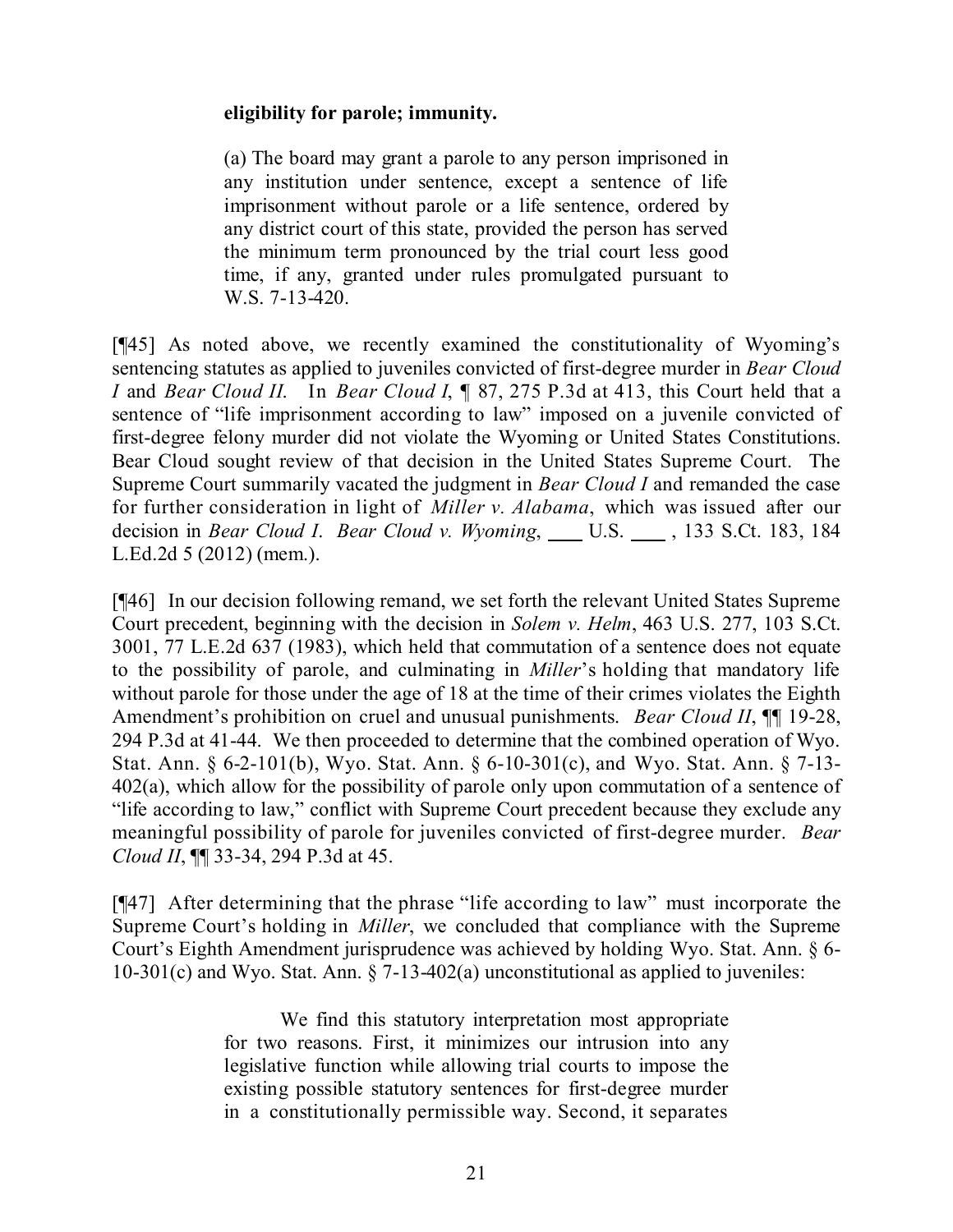## **eligibility for parole; immunity.**

(a) The board may grant a parole to any person imprisoned in any institution under sentence, except a sentence of life imprisonment without parole or a life sentence, ordered by any district court of this state, provided the person has served the minimum term pronounced by the trial court less good time, if any, granted under rules promulgated pursuant to W.S. 7-13-420.

[¶45] As noted above, we recently examined the constitutionality of Wyoming's sentencing statutes as applied to juveniles convicted of first-degree murder in *Bear Cloud I* and *Bear Cloud II*. In *Bear Cloud I*, ¶ 87, 275 P.3d at 413, this Court held that a sentence of "life imprisonment according to law" imposed on a juvenile convicted of first-degree felony murder did not violate the Wyoming or United States Constitutions. Bear Cloud sought review of that decision in the United States Supreme Court. The Supreme Court summarily vacated the judgment in *Bear Cloud I* and remanded the case for further consideration in light of *Miller v. Alabama*, which was issued after our decision in *Bear Cloud I*. *Bear Cloud v. Wyoming*, U.S. , 133 S.Ct. 183, 184 L.Ed.2d 5 (2012) (mem.).

[¶46] In our decision following remand, we set forth the relevant United States Supreme Court precedent, beginning with the decision in *Solem v. Helm*, 463 U.S. 277, 103 S.Ct. 3001, 77 L.E.2d 637 (1983), which held that commutation of a sentence does not equate to the possibility of parole, and culminating in *Miller*'s holding that mandatory life without parole for those under the age of 18 at the time of their crimes violates the Eighth Amendment's prohibition on cruel and unusual punishments. *Bear Cloud II*, ¶¶ 19-28, 294 P.3d at 41-44. We then proceeded to determine that the combined operation of Wyo. Stat. Ann. § 6-2-101(b), Wyo. Stat. Ann. § 6-10-301(c), and Wyo. Stat. Ann. § 7-13- 402(a), which allow for the possibility of parole only upon commutation of a sentence of "life according to law," conflict with Supreme Court precedent because they exclude any meaningful possibility of parole for juveniles convicted of first-degree murder. *Bear Cloud II*, ¶¶ 33-34, 294 P.3d at 45.

[¶47] After determining that the phrase "life according to law" must incorporate the Supreme Court's holding in *Miller*, we concluded that compliance with the Supreme Court's Eighth Amendment jurisprudence was achieved by holding Wyo. Stat. Ann. § 6- 10-301(c) and Wyo. Stat. Ann. § 7-13-402(a) unconstitutional as applied to juveniles:

> We find this statutory interpretation most appropriate for two reasons. First, it minimizes our intrusion into any legislative function while allowing trial courts to impose the existing possible statutory sentences for first-degree murder in a constitutionally permissible way. Second, it separates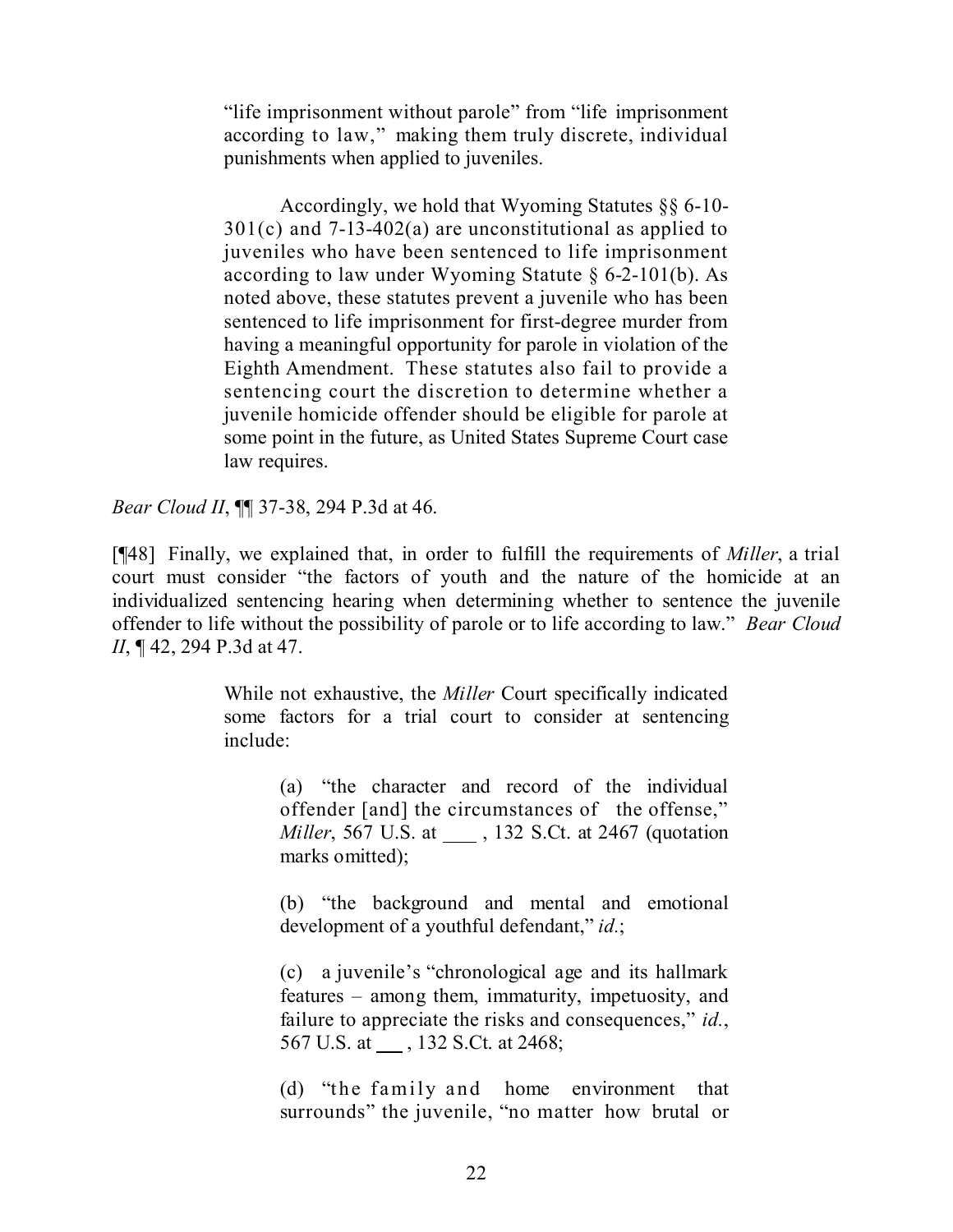"life imprisonment without parole" from "life imprisonment according to law," making them truly discrete, individual punishments when applied to juveniles.

Accordingly, we hold that Wyoming Statutes §§ 6-10-  $301(c)$  and  $7-13-402(a)$  are unconstitutional as applied to juveniles who have been sentenced to life imprisonment according to law under Wyoming Statute § 6-2-101(b). As noted above, these statutes prevent a juvenile who has been sentenced to life imprisonment for first-degree murder from having a meaningful opportunity for parole in violation of the Eighth Amendment. These statutes also fail to provide a sentencing court the discretion to determine whether a juvenile homicide offender should be eligible for parole at some point in the future, as United States Supreme Court case law requires.

*Bear Cloud II*, **[14** 37-38, 294 P.3d at 46.

[¶48] Finally, we explained that, in order to fulfill the requirements of *Miller*, a trial court must consider "the factors of youth and the nature of the homicide at an individualized sentencing hearing when determining whether to sentence the juvenile offender to life without the possibility of parole or to life according to law." *Bear Cloud II*, ¶ 42, 294 P.3d at 47.

> While not exhaustive, the *Miller* Court specifically indicated some factors for a trial court to consider at sentencing include:

> > (a) "the character and record of the individual offender [and] the circumstances of the offense," *Miller*, 567 U.S. at \_\_\_\_, 132 S.Ct. at 2467 (quotation marks omitted);

> > (b) "the background and mental and emotional development of a youthful defendant," *id.*;

> > (c) a juvenile's "chronological age and its hallmark features – among them, immaturity, impetuosity, and failure to appreciate the risks and consequences," *id.*, 567 U.S. at \_\_\_\_, 132 S.Ct. at 2468;

> > (d) "the family and home environment that surrounds" the juvenile, "no matter how brutal or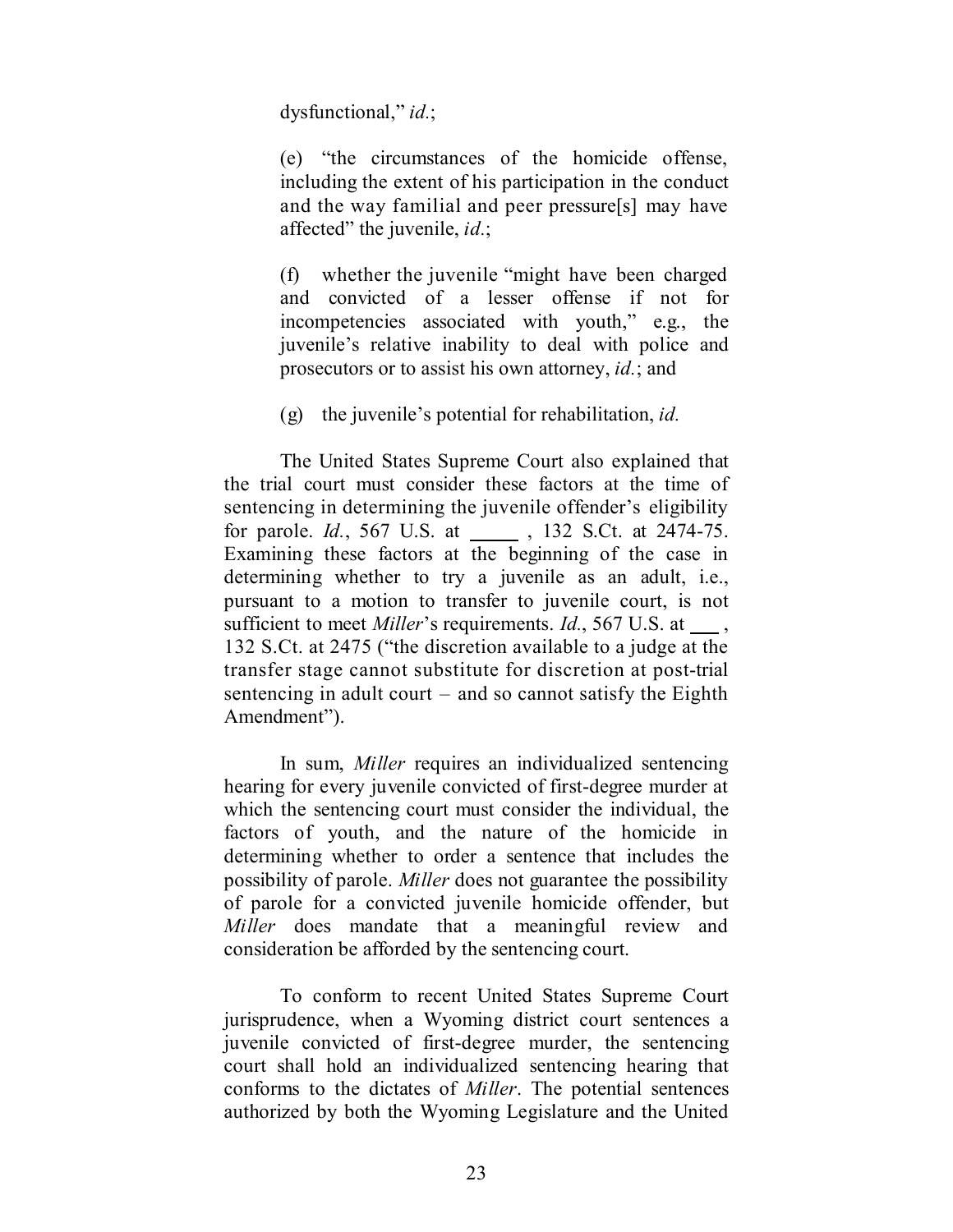dysfunctional," *id.*;

(e) "the circumstances of the homicide offense, including the extent of his participation in the conduct and the way familial and peer pressure[s] may have affected" the juvenile, *id.*;

(f) whether the juvenile "might have been charged and convicted of a lesser offense if not for incompetencies associated with youth," e.g., the juvenile's relative inability to deal with police and prosecutors or to assist his own attorney, *id.*; and

(g) the juvenile's potential for rehabilitation, *id.*

The United States Supreme Court also explained that the trial court must consider these factors at the time of sentencing in determining the juvenile offender's eligibility for parole. *Id.*, 567 U.S. at \_\_\_\_\_\_, 132 S.Ct. at 2474-75. Examining these factors at the beginning of the case in determining whether to try a juvenile as an adult, i.e., pursuant to a motion to transfer to juvenile court, is not sufficient to meet *Miller*'s requirements. *Id.*, 567 U.S. at 132 S.Ct. at 2475 ("the discretion available to a judge at the transfer stage cannot substitute for discretion at post-trial sentencing in adult court  $-$  and so cannot satisfy the Eighth Amendment").

In sum, *Miller* requires an individualized sentencing hearing for every juvenile convicted of first-degree murder at which the sentencing court must consider the individual, the factors of youth, and the nature of the homicide in determining whether to order a sentence that includes the possibility of parole. *Miller* does not guarantee the possibility of parole for a convicted juvenile homicide offender, but *Miller* does mandate that a meaningful review and consideration be afforded by the sentencing court.

To conform to recent United States Supreme Court jurisprudence, when a Wyoming district court sentences a juvenile convicted of first-degree murder, the sentencing court shall hold an individualized sentencing hearing that conforms to the dictates of *Miller*. The potential sentences authorized by both the Wyoming Legislature and the United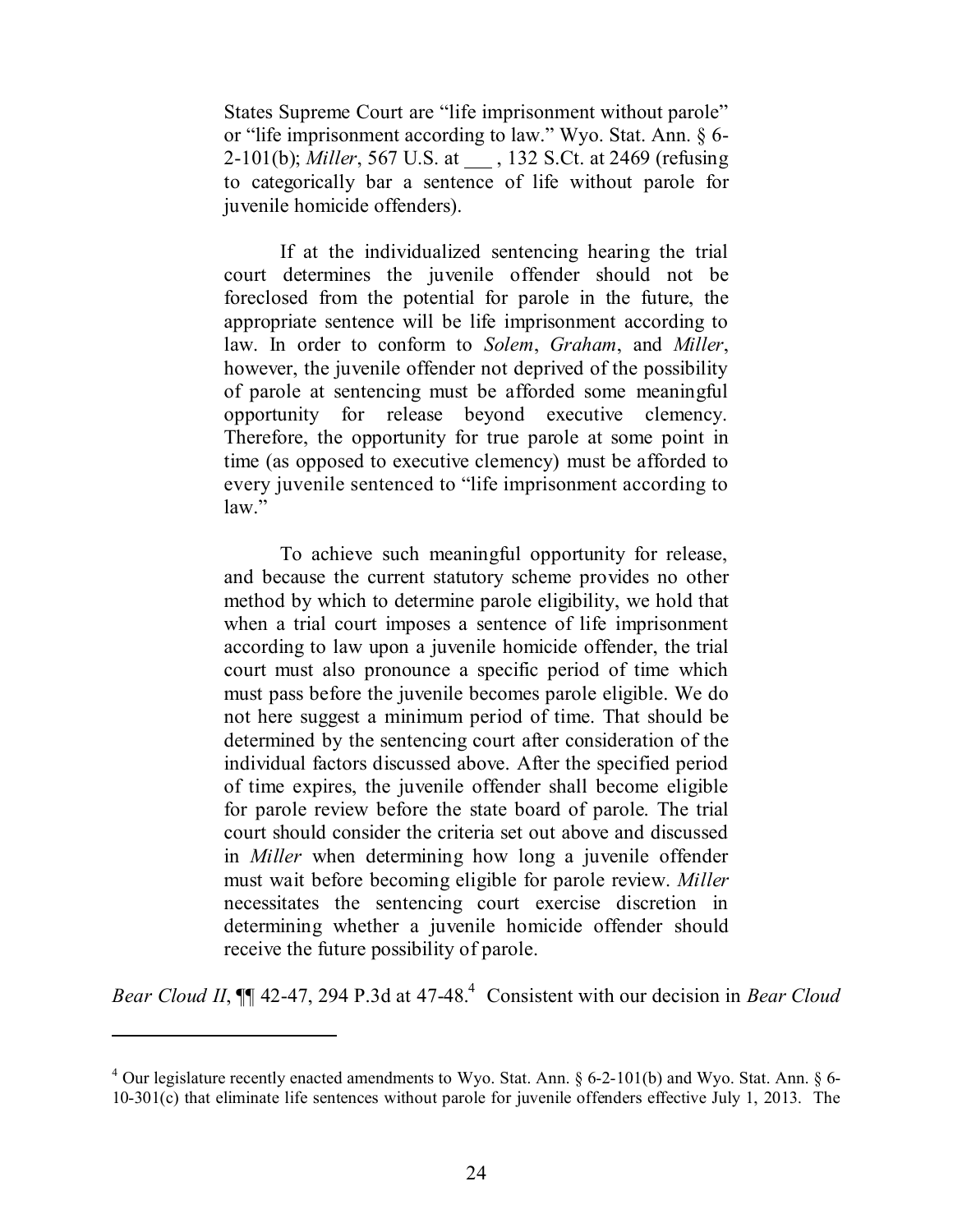States Supreme Court are "life imprisonment without parole" or "life imprisonment according to law." Wyo. Stat. Ann. § 6- 2-101(b); *Miller*, 567 U.S. at \_\_\_\_, 132 S.Ct. at 2469 (refusing to categorically bar a sentence of life without parole for juvenile homicide offenders).

If at the individualized sentencing hearing the trial court determines the juvenile offender should not be foreclosed from the potential for parole in the future, the appropriate sentence will be life imprisonment according to law. In order to conform to *Solem*, *Graham*, and *Miller*, however, the juvenile offender not deprived of the possibility of parole at sentencing must be afforded some meaningful opportunity for release beyond executive clemency. Therefore, the opportunity for true parole at some point in time (as opposed to executive clemency) must be afforded to every juvenile sentenced to "life imprisonment according to law."

To achieve such meaningful opportunity for release, and because the current statutory scheme provides no other method by which to determine parole eligibility, we hold that when a trial court imposes a sentence of life imprisonment according to law upon a juvenile homicide offender, the trial court must also pronounce a specific period of time which must pass before the juvenile becomes parole eligible. We do not here suggest a minimum period of time. That should be determined by the sentencing court after consideration of the individual factors discussed above. After the specified period of time expires, the juvenile offender shall become eligible for parole review before the state board of parole. The trial court should consider the criteria set out above and discussed in *Miller* when determining how long a juvenile offender must wait before becoming eligible for parole review. *Miller* necessitates the sentencing court exercise discretion in determining whether a juvenile homicide offender should receive the future possibility of parole.

*Bear Cloud II*, ¶¶ 42-47, 294 P.3d at 47-48. 4 Consistent with our decision in *Bear Cloud* 

 $4$  Our legislature recently enacted amendments to Wyo. Stat. Ann. § 6-2-101(b) and Wyo. Stat. Ann. § 6-10-301(c) that eliminate life sentences without parole for juvenile offenders effective July 1, 2013. The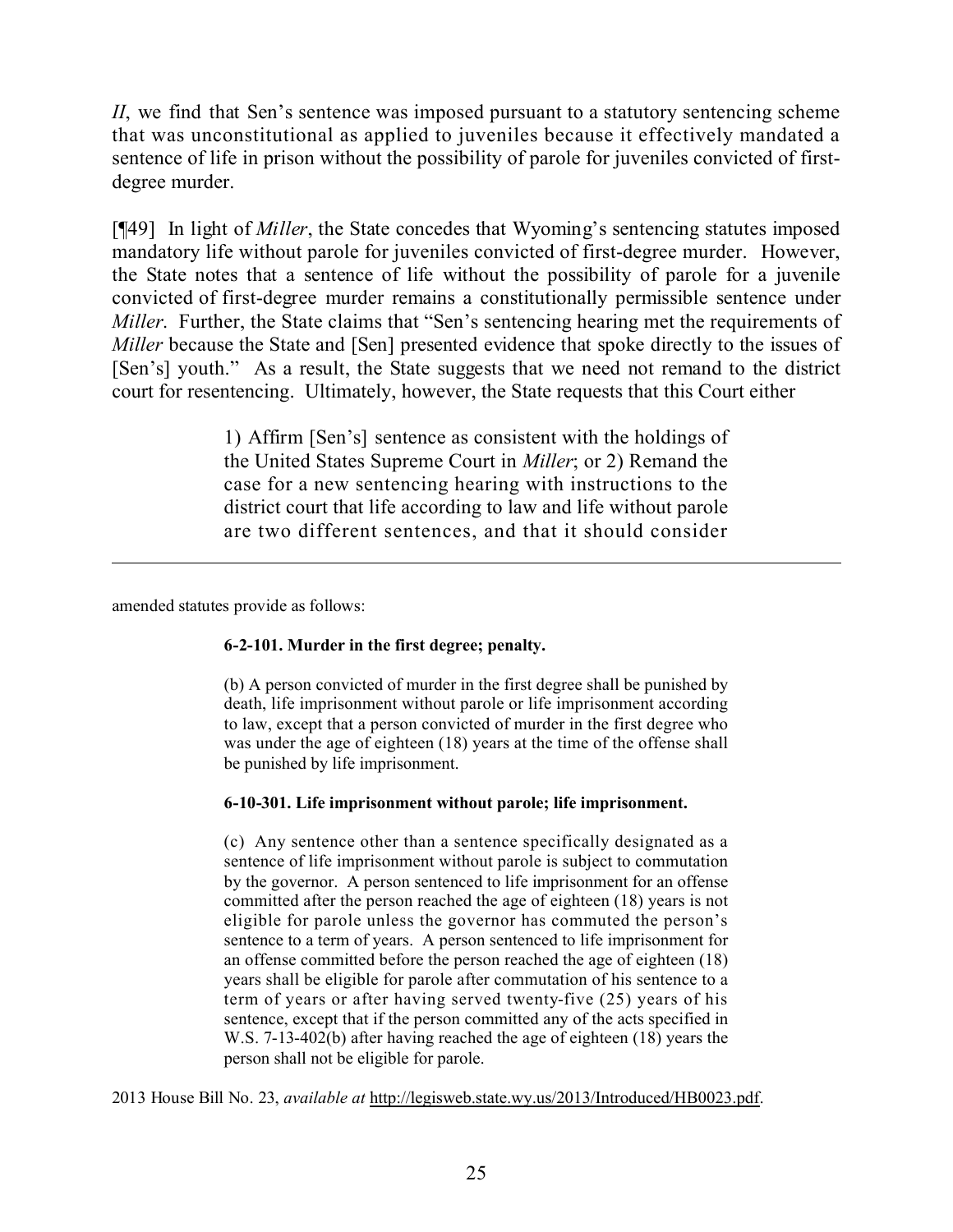*II*, we find that Sen's sentence was imposed pursuant to a statutory sentencing scheme that was unconstitutional as applied to juveniles because it effectively mandated a sentence of life in prison without the possibility of parole for juveniles convicted of firstdegree murder.

[¶49] In light of *Miller*, the State concedes that Wyoming's sentencing statutes imposed mandatory life without parole for juveniles convicted of first-degree murder. However, the State notes that a sentence of life without the possibility of parole for a juvenile convicted of first-degree murder remains a constitutionally permissible sentence under *Miller*. Further, the State claims that "Sen's sentencing hearing met the requirements of *Miller* because the State and [Sen] presented evidence that spoke directly to the issues of [Sen's] youth." As a result, the State suggests that we need not remand to the district court for resentencing. Ultimately, however, the State requests that this Court either

> 1) Affirm [Sen's] sentence as consistent with the holdings of the United States Supreme Court in *Miller*; or 2) Remand the case for a new sentencing hearing with instructions to the district court that life according to law and life without parole are two different sentences, and that it should consider

> > l

amended statutes provide as follows:

#### **6-2-101. Murder in the first degree; penalty.**

(b) A person convicted of murder in the first degree shall be punished by death, life imprisonment without parole or life imprisonment according to law, except that a person convicted of murder in the first degree who was under the age of eighteen (18) years at the time of the offense shall be punished by life imprisonment.

#### **6-10-301. Life imprisonment without parole; life imprisonment.**

(c) Any sentence other than a sentence specifically designated as a sentence of life imprisonment without parole is subject to commutation by the governor. A person sentenced to life imprisonment for an offense committed after the person reached the age of eighteen (18) years is not eligible for parole unless the governor has commuted the person's sentence to a term of years. A person sentenced to life imprisonment for an offense committed before the person reached the age of eighteen (18) years shall be eligible for parole after commutation of his sentence to a term of years or after having served twenty-five (25) years of his sentence, except that if the person committed any of the acts specified in W.S. 7-13-402(b) after having reached the age of eighteen (18) years the person shall not be eligible for parole.

2013 House Bill No. 23, *available at* http://legisweb.state.wy.us/2013/Introduced/HB0023.pdf.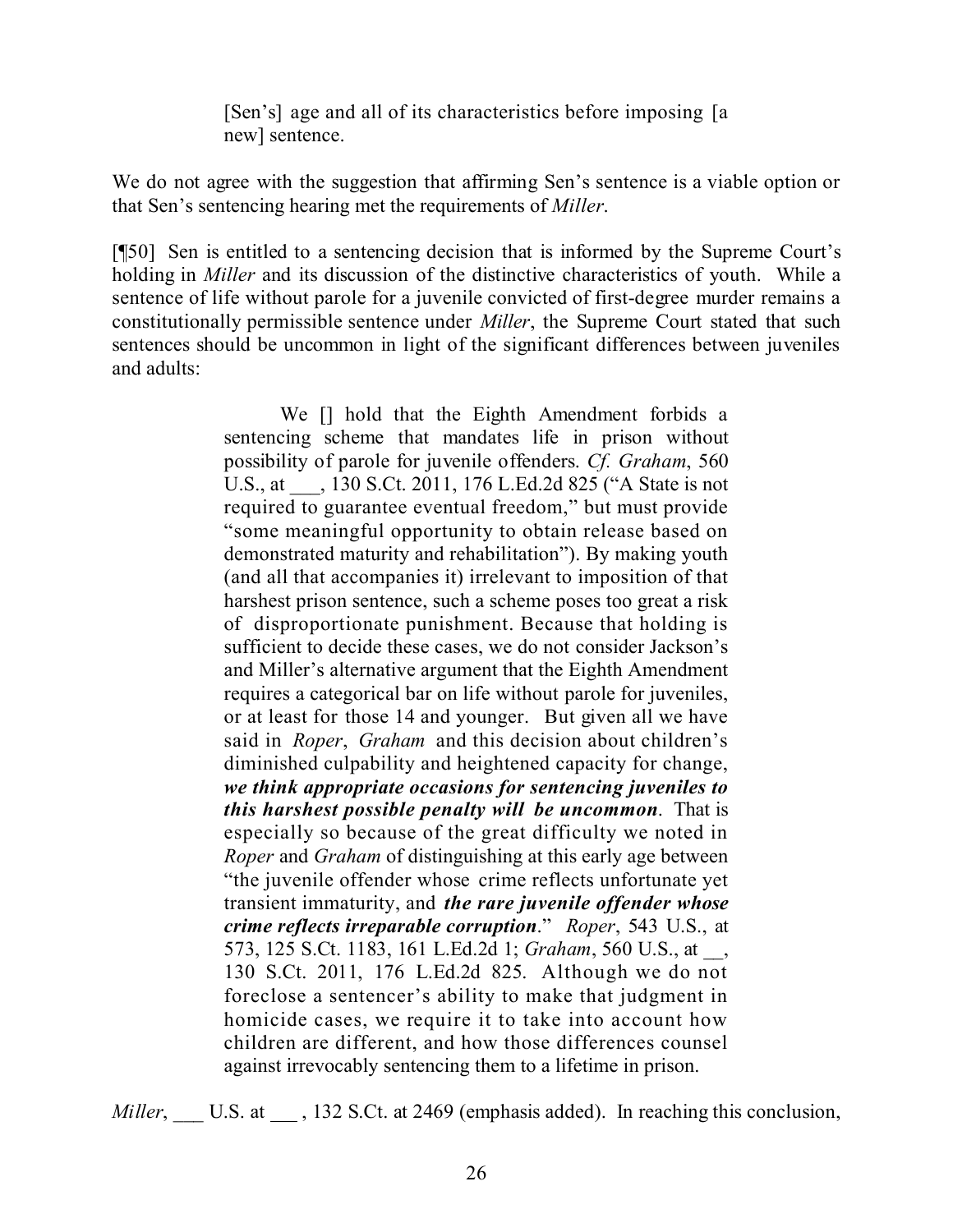[Sen's] age and all of its characteristics before imposing [a new] sentence.

We do not agree with the suggestion that affirming Sen's sentence is a viable option or that Sen's sentencing hearing met the requirements of *Miller*.

[¶50] Sen is entitled to a sentencing decision that is informed by the Supreme Court's holding in *Miller* and its discussion of the distinctive characteristics of youth. While a sentence of life without parole for a juvenile convicted of first-degree murder remains a constitutionally permissible sentence under *Miller*, the Supreme Court stated that such sentences should be uncommon in light of the significant differences between juveniles and adults:

> We [] hold that the Eighth Amendment forbids a sentencing scheme that mandates life in prison without possibility of parole for juvenile offenders. *Cf. Graham*, 560 U.S., at  $\qquad$ , 130 S.Ct. 2011, 176 L.Ed.2d 825 ("A State is not required to guarantee eventual freedom," but must provide "some meaningful opportunity to obtain release based on demonstrated maturity and rehabilitation"). By making youth (and all that accompanies it) irrelevant to imposition of that harshest prison sentence, such a scheme poses too great a risk of disproportionate punishment. Because that holding is sufficient to decide these cases, we do not consider Jackson's and Miller's alternative argument that the Eighth Amendment requires a categorical bar on life without parole for juveniles, or at least for those 14 and younger. But given all we have said in *Roper*, *Graham* and this decision about children's diminished culpability and heightened capacity for change, *we think appropriate occasions for sentencing juveniles to this harshest possible penalty will be uncommon*. That is especially so because of the great difficulty we noted in *Roper* and *Graham* of distinguishing at this early age between "the juvenile offender whose crime reflects unfortunate yet transient immaturity, and *the rare juvenile offender whose crime reflects irreparable corruption*." *Roper*, 543 U.S., at 573, 125 S.Ct. 1183, 161 L.Ed.2d 1; *Graham*, 560 U.S., at \_\_, 130 S.Ct. 2011, 176 L.Ed.2d 825. Although we do not foreclose a sentencer's ability to make that judgment in homicide cases, we require it to take into account how children are different, and how those differences counsel against irrevocably sentencing them to a lifetime in prison.

*Miller*, U.S. at \_\_\_, 132 S.Ct. at 2469 (emphasis added). In reaching this conclusion,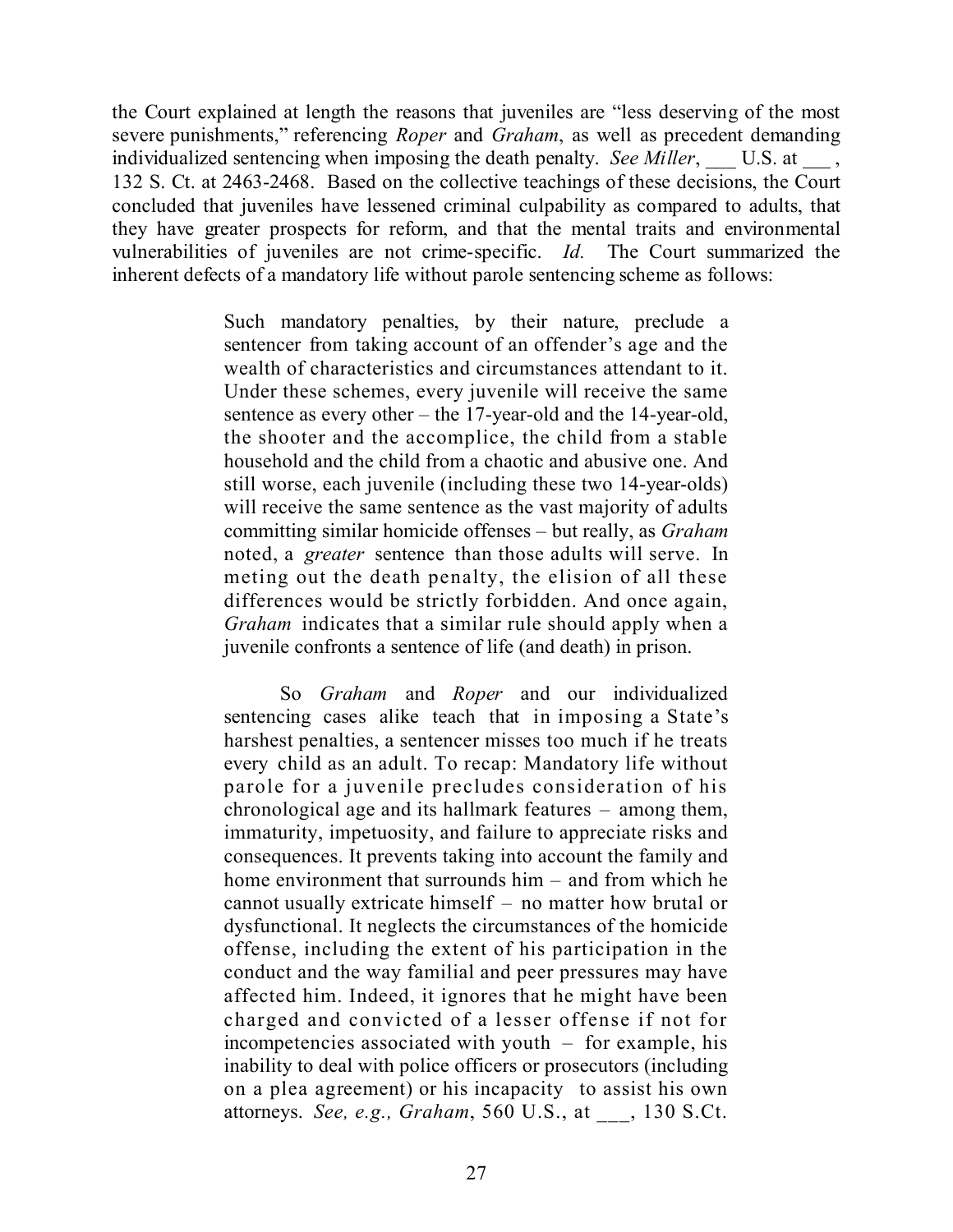the Court explained at length the reasons that juveniles are "less deserving of the most severe punishments," referencing *Roper* and *Graham*, as well as precedent demanding individualized sentencing when imposing the death penalty. *See Miller*, U.S. at 132 S. Ct. at 2463-2468. Based on the collective teachings of these decisions, the Court concluded that juveniles have lessened criminal culpability as compared to adults, that they have greater prospects for reform, and that the mental traits and environmental vulnerabilities of juveniles are not crime-specific. *Id.* The Court summarized the inherent defects of a mandatory life without parole sentencing scheme as follows:

> Such mandatory penalties, by their nature, preclude a sentencer from taking account of an offender's age and the wealth of characteristics and circumstances attendant to it. Under these schemes, every juvenile will receive the same sentence as every other – the 17-year-old and the 14-year-old, the shooter and the accomplice, the child from a stable household and the child from a chaotic and abusive one. And still worse, each juvenile (including these two 14-year-olds) will receive the same sentence as the vast majority of adults committing similar homicide offenses – but really, as *Graham* noted, a *greater* sentence than those adults will serve. In meting out the death penalty, the elision of all these differences would be strictly forbidden. And once again, *Graham* indicates that a similar rule should apply when a juvenile confronts a sentence of life (and death) in prison.

> So *Graham* and *Roper* and our individualized sentencing cases alike teach that in imposing a State's harshest penalties, a sentencer misses too much if he treats every child as an adult. To recap: Mandatory life without parole for a juvenile precludes consideration of his chronological age and its hallmark features – among them, immaturity, impetuosity, and failure to appreciate risks and consequences. It prevents taking into account the family and home environment that surrounds him – and from which he cannot usually extricate himself – no matter how brutal or dysfunctional. It neglects the circumstances of the homicide offense, including the extent of his participation in the conduct and the way familial and peer pressures may have affected him. Indeed, it ignores that he might have been charged and convicted of a lesser offense if not for incompetencies associated with youth – for example, his inability to deal with police officers or prosecutors (including on a plea agreement) or his incapacity to assist his own attorneys. *See, e.g., Graham*, 560 U.S., at \_\_\_, 130 S.Ct.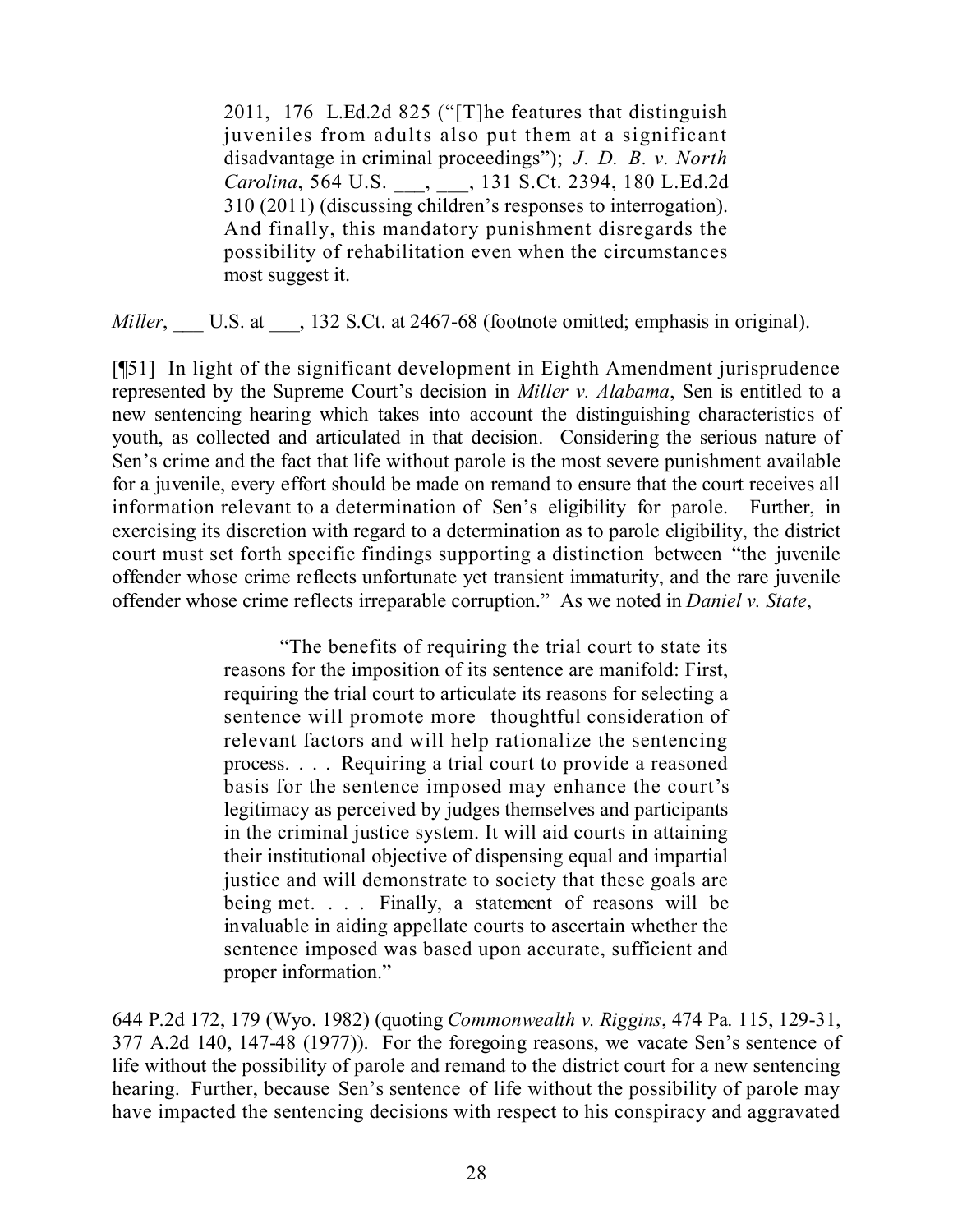2011, 176 L.Ed.2d 825 ("[T]he features that distinguish juveniles from adults also put them at a significant disadvantage in criminal proceedings"); *J. D. B. v. North Carolina*, 564 U.S. \_\_\_, \_\_\_, 131 S.Ct. 2394, 180 L.Ed.2d 310 (2011) (discussing children's responses to interrogation). And finally, this mandatory punishment disregards the possibility of rehabilitation even when the circumstances most suggest it.

*Miller*, U.S. at , 132 S.Ct. at 2467-68 (footnote omitted; emphasis in original).

[¶51] In light of the significant development in Eighth Amendment jurisprudence represented by the Supreme Court's decision in *Miller v. Alabama*, Sen is entitled to a new sentencing hearing which takes into account the distinguishing characteristics of youth, as collected and articulated in that decision. Considering the serious nature of Sen's crime and the fact that life without parole is the most severe punishment available for a juvenile, every effort should be made on remand to ensure that the court receives all information relevant to a determination of Sen's eligibility for parole. Further, in exercising its discretion with regard to a determination as to parole eligibility, the district court must set forth specific findings supporting a distinction between "the juvenile offender whose crime reflects unfortunate yet transient immaturity, and the rare juvenile offender whose crime reflects irreparable corruption." As we noted in *Daniel v. State*,

> "The benefits of requiring the trial court to state its reasons for the imposition of its sentence are manifold: First, requiring the trial court to articulate its reasons for selecting a sentence will promote more thoughtful consideration of relevant factors and will help rationalize the sentencing process. . . . Requiring a trial court to provide a reasoned basis for the sentence imposed may enhance the court's legitimacy as perceived by judges themselves and participants in the criminal justice system. It will aid courts in attaining their institutional objective of dispensing equal and impartial justice and will demonstrate to society that these goals are being met. . . . Finally, a statement of reasons will be invaluable in aiding appellate courts to ascertain whether the sentence imposed was based upon accurate, sufficient and proper information."

644 P.2d 172, 179 (Wyo. 1982) (quoting *Commonwealth v. Riggins*, 474 Pa. 115, 129-31, 377 A.2d 140, 147-48 (1977)). For the foregoing reasons, we vacate Sen's sentence of life without the possibility of parole and remand to the district court for a new sentencing hearing. Further, because Sen's sentence of life without the possibility of parole may have impacted the sentencing decisions with respect to his conspiracy and aggravated